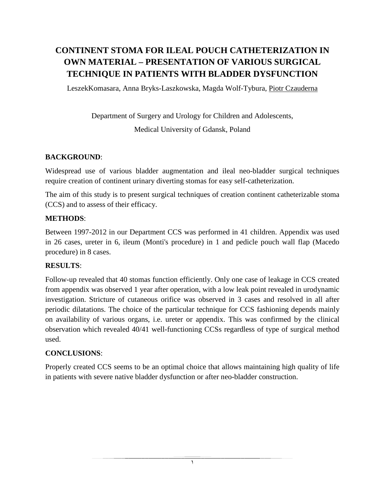# **CONTINENT STOMA FOR ILEAL POUCH CATHETERIZATION IN OWN MATERIAL – PRESENTATION OF VARIOUS SURGICAL TECHNIQUE IN PATIENTS WITH BLADDER DYSFUNCTION**

LeszekKomasara, Anna Bryks-Laszkowska, Magda Wolf-Tybura, Piotr Czauderna

Department of Surgery and Urology for Children and Adolescents, Medical University of Gdansk, Poland

### **BACKGROUND**:

Widespread use of various bladder augmentation and ileal neo-bladder surgical techniques require creation of continent urinary diverting stomas for easy self-catheterization.

The aim of this study is to present surgical techniques of creation continent catheterizable stoma (CCS) and to assess of their efficacy.

### **METHODS**:

Between 1997-2012 in our Department CCS was performed in 41 children. Appendix was used in 26 cases, ureter in 6, ileum (Monti's procedure) in 1 and pedicle pouch wall flap (Macedo procedure) in 8 cases.

### **RESULTS**:

Follow-up revealed that 40 stomas function efficiently. Only one case of leakage in CCS created from appendix was observed 1 year after operation, with a low leak point revealed in urodynamic investigation. Stricture of cutaneous orifice was observed in 3 cases and resolved in all after periodic dilatations. The choice of the particular technique for CCS fashioning depends mainly on availability of various organs, i.e. ureter or appendix. This was confirmed by the clinical observation which revealed 40/41 well-functioning CCSs regardless of type of surgical method used.

### **CONCLUSIONS**:

Properly created CCS seems to be an optimal choice that allows maintaining high quality of life in patients with severe native bladder dysfunction or after neo-bladder construction.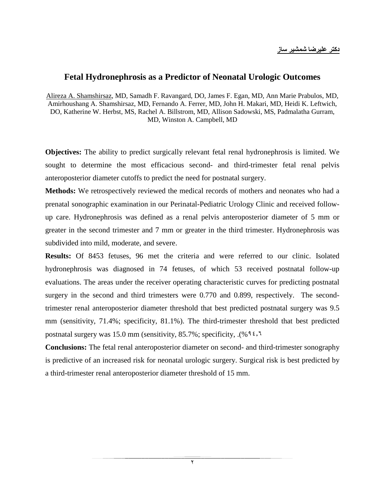### **Fetal Hydronephrosis as a Predictor of Neonatal Urologic Outcomes**

Alireza A. Shamshirsaz, MD, Samadh F. Ravangard, DO, James F. Egan, MD, Ann Marie Prabulos, MD, Amirhoushang A. Shamshirsaz, MD, Fernando A. Ferrer, MD, John H. Makari, MD, Heidi K. Leftwich, DO, Katherine W. Herbst, MS, Rachel A. Billstrom, MD, Allison Sadowski, MS, Padmalatha Gurram, MD, Winston A. Campbell, MD

**Objectives:** The ability to predict surgically relevant fetal renal hydronephrosis is limited. We sought to determine the most efficacious second- and third-trimester fetal renal pelvis anteroposterior diameter cutoffs to predict the need for postnatal surgery.

**Methods:** We retrospectively reviewed the medical records of mothers and neonates who had a prenatal sonographic examination in our Perinatal-Pediatric Urology Clinic and received followup care. Hydronephrosis was defined as a renal pelvis anteroposterior diameter of 5 mm or greater in the second trimester and 7 mm or greater in the third trimester. Hydronephrosis was subdivided into mild, moderate, and severe.

**Results:** Of 8453 fetuses, 96 met the criteria and were referred to our clinic. Isolated hydronephrosis was diagnosed in 74 fetuses, of which 53 received postnatal follow-up evaluations. The areas under the receiver operating characteristic curves for predicting postnatal surgery in the second and third trimesters were 0.770 and 0.899, respectively. The secondtrimester renal anteroposterior diameter threshold that best predicted postnatal surgery was 9.5 mm (sensitivity, 71.4%; specificity, 81.1%). The third-trimester threshold that best predicted postnatal surgery was 15.0 mm (sensitivity, 85.7%; specificity, . $($ % 9 $\epsilon$ , $\tau$ )

**Conclusions:** The fetal renal anteroposterior diameter on second- and third-trimester sonography is predictive of an increased risk for neonatal urologic surgery. Surgical risk is best predicted by a third-trimester renal anteroposterior diameter threshold of 15 mm.

۲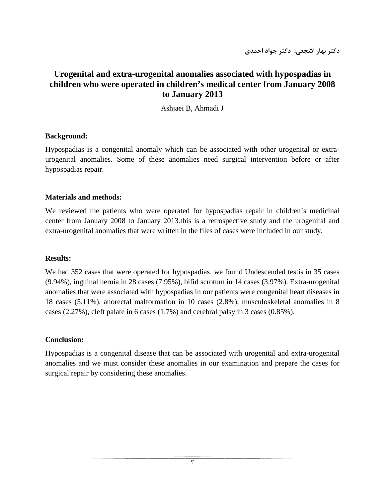**دكتر بهار اشجعي، دكتر جواد احمدي**

### **Urogenital and extra-urogenital anomalies associated with hypospadias in children who were operated in children's medical center from January 2008 to January 2013**

Ashjaei B, Ahmadi J

#### **Background:**

Hypospadias is a congenital anomaly which can be associated with other urogenital or extraurogenital anomalies. Some of these anomalies need surgical intervention before or after hypospadias repair.

#### **Materials and methods:**

We reviewed the patients who were operated for hypospadias repair in children's medicinal center from January 2008 to January 2013.this is a retrospective study and the urogenital and extra-urogenital anomalies that were written in the files of cases were included in our study.

#### **Results:**

We had 352 cases that were operated for hypospadias. we found Undescended testis in 35 cases (9.94%), inguinal hernia in 28 cases (7.95%), bifid scrotum in 14 cases (3.97%). Extra-urogenital anomalies that were associated with hypospadias in our patients were congenital heart diseases in 18 cases (5.11%), anorectal malformation in 10 cases (2.8%), musculoskeletal anomalies in 8 cases (2.27%), cleft palate in 6 cases (1.7%) and cerebral palsy in 3 cases (0.85%).

#### **Conclusion:**

Hypospadias is a congenital disease that can be associated with urogenital and extra-urogenital anomalies and we must consider these anomalies in our examination and prepare the cases for surgical repair by considering these anomalies.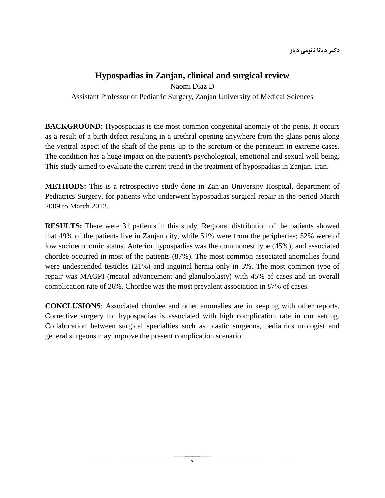### **Hypospadias in Zanjan, clinical and surgical review**

Naomi Diaz D

Assistant Professor of Pediatric Surgery, Zanjan University of Medical Sciences

**BACKGROUND:** Hypospadias is the most common congenital anomaly of the penis. It occurs as a result of a birth defect resulting in a urethral opening anywhere from the glans penis along the ventral aspect of the shaft of the penis up to the scrotum or the perineum in extreme cases. The condition has a huge impact on the patient's psychological, emotional and sexual well being. This study aimed to evaluate the current trend in the treatment of hypospadias in Zanjan. Iran.

**METHODS:** This is a retrospective study done in Zanjan University Hospital, department of Pediatrics Surgery, for patients who underwent hypospadias surgical repair in the period March 2009 to March 2012.

**RESULTS:** There were 31 patients in this study. Regional distribution of the patients showed that 49% of the patients live in Zanjan city, while 51% were from the peripheries; 52% were of low socioeconomic status. Anterior hypospadias was the commonest type (45%), and associated chordee occurred in most of the patients (87%). The most common associated anomalies found were undescended testicles (21%) and inguinal hernia only in 3%. The most common type of repair was MAGPI (meatal advancement and glanuloplasty) with 45% of cases and an overall complication rate of 26%. Chordee was the most prevalent association in 87% of cases.

**CONCLUSIONS**: Associated chordee and other anomalies are in keeping with other reports. Corrective surgery for hypospadias is associated with high complication rate in our setting. Collaboration between surgical specialties such as plastic surgeons, pediatrics urologist and general surgeons may improve the present complication scenario.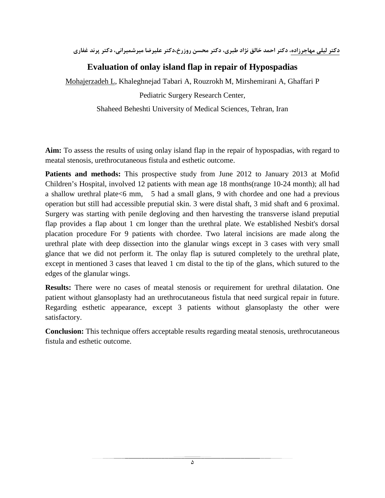**دكتر ليلي مهاجرزاده، دكتر احمد خالق نژاد طبري، دكتر محسن روزرخ،دكتر عليرضا ميرشميراني، دكتر پرند غفاري**

## **Evaluation of onlay island flap in repair of Hypospadias**

Mohajerzadeh L, Khaleghnejad Tabari A, Rouzrokh M, Mirshemirani A, Ghaffari P

Pediatric Surgery Research Center,

Shaheed Beheshti University of Medical Sciences, Tehran, Iran

**Aim:** To assess the results of using onlay island flap in the repair of hypospadias, with regard to meatal stenosis, urethrocutaneous fistula and esthetic outcome.

**Patients and methods:** This prospective study from June 2012 to January 2013 at Mofid Children's Hospital, involved 12 patients with mean age 18 months(range 10-24 month); all had a shallow urethral plate<6 mm, 5 had a small glans, 9 with chordee and one had a previous operation but still had accessible preputial skin. 3 were distal shaft, 3 mid shaft and 6 proximal. Surgery was starting with penile degloving and then harvesting the transverse island preputial flap provides a flap about 1 cm longer than the urethral plate. We established Nesbit's dorsal placation procedure For 9 patients with chordee. Two lateral incisions are made along the urethral plate with deep dissection into the glanular wings except in 3 cases with very small glance that we did not perform it. The onlay flap is sutured completely to the urethral plate, except in mentioned 3 cases that leaved 1 cm distal to the tip of the glans, which sutured to the edges of the glanular wings.

**Results:** There were no cases of meatal stenosis or requirement for urethral dilatation. One patient without glansoplasty had an urethrocutaneous fistula that need surgical repair in future. Regarding esthetic appearance, except 3 patients without glansoplasty the other were satisfactory.

**Conclusion:** This technique offers acceptable results regarding meatal stenosis, urethrocutaneous fistula and esthetic outcome.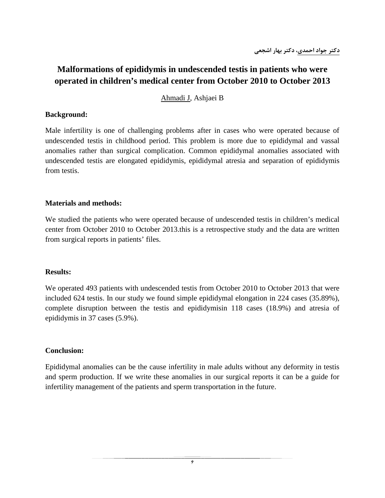### **Malformations of epididymis in undescended testis in patients who were operated in children's medical center from October 2010 to October 2013**

Ahmadi J, Ashjaei B

#### **Background:**

Male infertility is one of challenging problems after in cases who were operated because of undescended testis in childhood period. This problem is more due to epididymal and vassal anomalies rather than surgical complication. Common epididymal anomalies associated with undescended testis are elongated epididymis, epididymal atresia and separation of epididymis from testis.

#### **Materials and methods:**

We studied the patients who were operated because of undescended testis in children's medical center from October 2010 to October 2013.this is a retrospective study and the data are written from surgical reports in patients' files.

#### **Results:**

We operated 493 patients with undescended testis from October 2010 to October 2013 that were included 624 testis. In our study we found simple epididymal elongation in 224 cases (35.89%), complete disruption between the testis and epididymisin 118 cases (18.9%) and atresia of epididymis in 37 cases (5.9%).

#### **Conclusion:**

Epididymal anomalies can be the cause infertility in male adults without any deformity in testis and sperm production. If we write these anomalies in our surgical reports it can be a guide for infertility management of the patients and sperm transportation in the future.

۶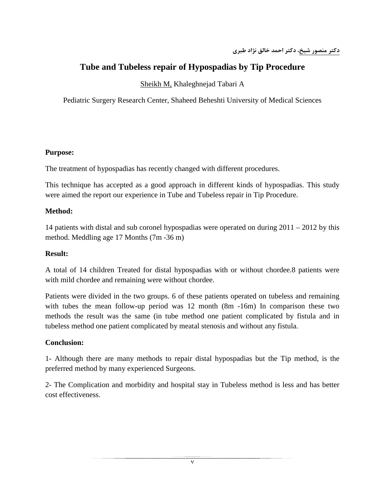# **Tube and Tubeless repair of Hypospadias by Tip Procedure**

Sheikh M, Khaleghnejad Tabari A

Pediatric Surgery Research Center, Shaheed Beheshti University of Medical Sciences

### **Purpose:**

The treatment of hypospadias has recently changed with different procedures.

This technique has accepted as a good approach in different kinds of hypospadias. This study were aimed the report our experience in Tube and Tubeless repair in Tip Procedure.

### **Method:**

14 patients with distal and sub coronel hypospadias were operated on during 2011 – 2012 by this method. Meddling age 17 Months (7m -36 m)

#### **Result:**

A total of 14 children Treated for distal hypospadias with or without chordee.8 patients were with mild chordee and remaining were without chordee.

Patients were divided in the two groups. 6 of these patients operated on tubeless and remaining with tubes the mean follow-up period was 12 month (8m -16m) In comparison these two methods the result was the same (in tube method one patient complicated by fistula and in tubeless method one patient complicated by meatal stenosis and without any fistula.

### **Conclusion:**

1- Although there are many methods to repair distal hypospadias but the Tip method, is the preferred method by many experienced Surgeons.

2- The Complication and morbidity and hospital stay in Tubeless method is less and has better cost effectiveness.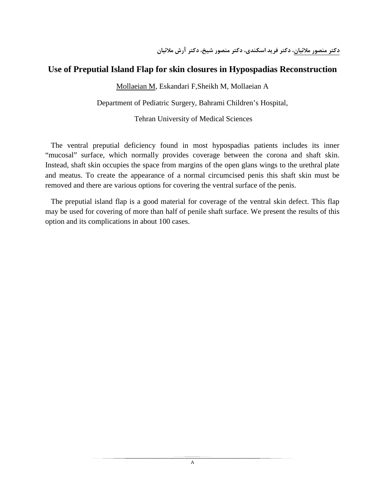### **Use of Preputial Island Flap for skin closures in Hypospadias Reconstruction**

Mollaeian M, Eskandari F,Sheikh M, Mollaeian A

Department of Pediatric Surgery, Bahrami Children's Hospital,

Tehran University of Medical Sciences

 The ventral preputial deficiency found in most hypospadias patients includes its inner "mucosal" surface, which normally provides coverage between the corona and shaft skin. Instead, shaft skin occupies the space from margins of the open glans wings to the urethral plate and meatus. To create the appearance of a normal circumcised penis this shaft skin must be removed and there are various options for covering the ventral surface of the penis.

 The preputial island flap is a good material for coverage of the ventral skin defect. This flap may be used for covering of more than half of penile shaft surface. We present the results of this option and its complications in about 100 cases.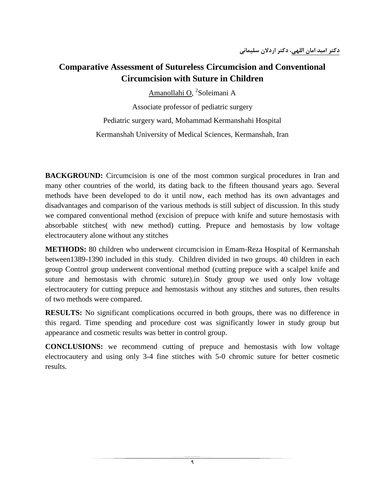# **Comparative Assessment of Sutureless Circumcision and Conventional Circumcision with Suture in Children**

Amanollahi O, <sup>2</sup>Soleimani A

Associate professor of pediatric surgery

Pediatric surgery ward, Mohammad Kermanshahi Hospital Kermanshah University of Medical Sciences, Kermanshah, Iran

**BACKGROUND:** Circumcision is one of the most common surgical procedures in Iran and many other countries of the world, its dating back to the fifteen thousand years ago. Several methods have been developed to do it until now, each method has its own advantages and disadvantages and comparison of the various methods is still subject of discussion. In this study we compared conventional method (excision of prepuce with knife and suture hemostasis with absorbable stitches( with new method) cutting. Prepuce and hemostasis by low voltage electrocautery alone without any stitches

**METHODS:** 80 children who underwent circumcision in Emam-Reza Hospital of Kermanshah between1389-1390 included in this study. Children divided in two groups. 40 children in each group Control group underwent conventional method (cutting prepuce with a scalpel knife and suture and hemostasis with chromic suture).in Study group we used only low voltage electrocautery for cutting prepuce and hemostasis without any stitches and sutures, then results of two methods were compared.

**RESULTS:** No significant complications occurred in both groups, there was no difference in this regard. Time spending and procedure cost was significantly lower in study group but appearance and cosmetic results was better in control group.

**CONCLUSIONS:** we recommend cutting of prepuce and hemostasis with low voltage electrocautery and using only 3-4 fine stitches with 5-0 chromic suture for better cosmetic results.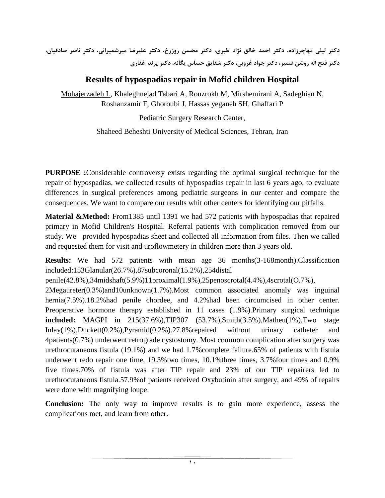**دكتر ليلي مهاجرزاده، دكتر احمد خالق نژاد طبري، دكتر محسن روزرخ، دكتر عليرضا ميرشميراني، دكتر ناصر صادقيان، دكتر فتح اله روشن ضمير، دكتر جواد غروبي، دكتر شقايق حساس يگانه، دكتر پرند غفاري**

### **Results of hypospadias repair in Mofid children Hospital**

Mohajerzadeh L, Khaleghnejad Tabari A, Rouzrokh M, Mirshemirani A, Sadeghian N, Roshanzamir F, Ghoroubi J, Hassas yeganeh SH, Ghaffari P

Pediatric Surgery Research Center,

Shaheed Beheshti University of Medical Sciences, Tehran, Iran

**PURPOSE :**Considerable controversy exists regarding the optimal surgical technique for the repair of hypospadias, we collected results of hypospadias repair in last 6 years ago, to evaluate differences in surgical preferences among pediatric surgeons in our center and compare the consequences. We want to compare our results whit other centers for identifying our pitfalls.

**Material &Method:** From1385 until 1391 we had 572 patients with hypospadias that repaired primary in Mofid Children's Hospital. Referral patients with complication removed from our study. We provided hypospadias sheet and collected all information from files. Then we called and requested them for visit and uroflowmetery in children more than 3 years old.

**Results:** We had 572 patients with mean age 36 months(3-168month).Classification included:153Glanular(26.7%),87subcoronal(15.2%),254distal

penile(42.8%),34midshaft(5.9%)11proximal(1.9%),25penoscrotal(4.4%),4scrotal(O.7%),

2Megaureter(0.3%)and10unknown(1.7%).Most common associated anomaly was inguinal hernia(7.5%).18.2%had penile chordee, and 4.2%had been circumcised in other center. Preoperative hormone therapy established in 11 cases (1.9%).Primary surgical technique **included:** MAGPI in 215(37.6%),TIP307 (53.7%),Smith(3.5%),Matheu(1%),Two stage Inlay(1%),Duckett(0.2%),Pyramid(0.2%).27.8%repaired without urinary catheter and 4patients(0.7%) underwent retrograde cystostomy. Most common complication after surgery was urethrocutaneous fistula (19.1%) and we had 1.7%complete failure.65% of patients with fistula underwent redo repair one time, 19.3%two times, 10.1%three times, 3.7%four times and 0.9% five times.70% of fistula was after TIP repair and 23% of our TIP repairers led to urethrocutaneous fistula.57.9%of patients received Oxybutinin after surgery, and 49% of repairs were done with magnifying loupe.

**Conclusion:** The only way to improve results is to gain more experience, assess the complications met, and learn from other.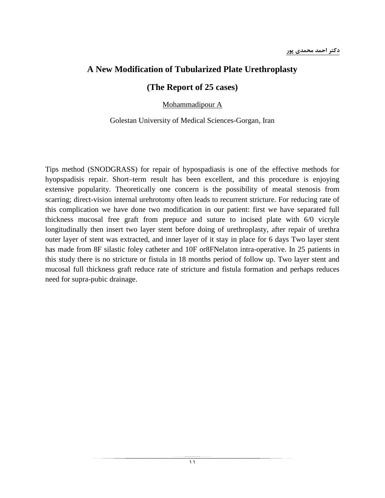### **A New Modification of Tubularized Plate Urethroplasty**

### **(The Report of 25 cases)**

Mohammadipour A

#### Golestan University of Medical Sciences-Gorgan, Iran

Tips method (SNODGRASS) for repair of hypospadiasis is one of the effective methods for hyopspadisis repair. Short–term result has been excellent, and this procedure is enjoying extensive popularity. Theoretically one concern is the possibility of meatal stenosis from scarring; direct-vision internal urehrotomy often leads to recurrent stricture. For reducing rate of this complication we have done two modification in our patient: first we have separated full thickness mucosal free graft from prepuce and suture to incised plate with 6/0 vicryle longitudinally then insert two layer stent before doing of urethroplasty, after repair of urethra outer layer of stent was extracted, and inner layer of it stay in place for 6 days Two layer stent has made from 8F silastic foley catheter and 10F or8FNelaton intra-operative. In 25 patients in this study there is no stricture or fistula in 18 months period of follow up. Two layer stent and mucosal full thickness graft reduce rate of stricture and fistula formation and perhaps reduces need for supra-pubic drainage.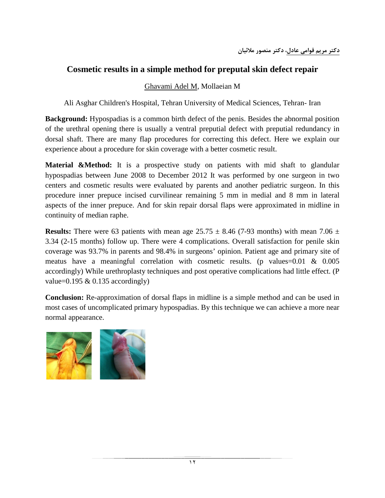### **Cosmetic results in a simple method for preputal skin defect repair**

### Ghavami Adel M, Mollaeian M

Ali Asghar Children's Hospital, Tehran University of Medical Sciences, Tehran- Iran

**Background:** Hypospadias is a common birth defect of the penis. Besides the abnormal position of the urethral opening there is usually a ventral preputial defect with preputial redundancy in dorsal shaft. There are many flap procedures for correcting this defect. Here we explain our experience about a procedure for skin coverage with a better cosmetic result.

**Material &Method:** It is a prospective study on patients with mid shaft to glandular hypospadias between June 2008 to December 2012 It was performed by one surgeon in two centers and cosmetic results were evaluated by parents and another pediatric surgeon. In this procedure inner prepuce incised curvilinear remaining 5 mm in medial and 8 mm in lateral aspects of the inner prepuce. And for skin repair dorsal flaps were approximated in midline in continuity of median raphe.

**Results:** There were 63 patients with mean age  $25.75 \pm 8.46$  (7-93 months) with mean 7.06  $\pm$ 3.34 (2-15 months) follow up. There were 4 complications. Overall satisfaction for penile skin coverage was 93.7% in parents and 98.4% in surgeons' opinion. Patient age and primary site of meatus have a meaningful correlation with cosmetic results. (p values=0.01 & 0.005 accordingly) While urethroplasty techniques and post operative complications had little effect. (P value=0.195  $&$  0.135 accordingly)

**Conclusion:** Re-approximation of dorsal flaps in midline is a simple method and can be used in most cases of uncomplicated primary hypospadias. By this technique we can achieve a more near normal appearance.

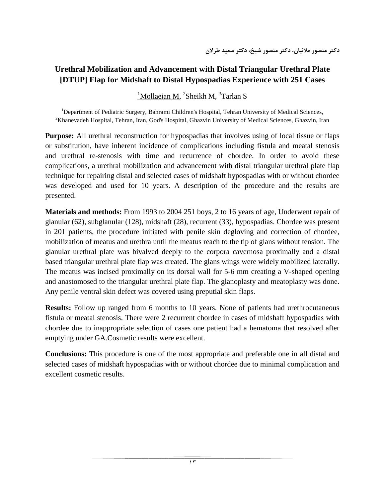### **Urethral Mobilization and Advancement with Distal Triangular Urethral Plate [DTUP] Flap for Midshaft to Distal Hypospadias Experience with 251 Cases**

<sup>1</sup>Mollaeian M, <sup>2</sup>Sheikh M, <sup>3</sup>Tarlan S

<sup>1</sup>Department of Pediatric Surgery, Bahrami Children's Hospital, Tehran University of Medical Sciences, 2<sup>2</sup>Khonovadah Hospital, Tehran Jran God's Hospital, Chazyin University of Medical Sciences, Ghazyin, Jran  ${}^{2}$ Khanevadeh Hospital, Tehran, Iran, God's Hospital, Ghazvin University of Medical Sciences, Ghazvin, Iran

**Purpose:** All urethral reconstruction for hypospadias that involves using of local tissue or flaps or substitution, have inherent incidence of complications including fistula and meatal stenosis and urethral re-stenosis with time and recurrence of chordee. In order to avoid these complications, a urethral mobilization and advancement with distal triangular urethral plate flap technique for repairing distal and selected cases of midshaft hypospadias with or without chordee was developed and used for 10 years. A description of the procedure and the results are presented.

**Materials and methods:** From 1993 to 2004 251 boys, 2 to 16 years of age, Underwent repair of glanular (62), subglanular (128), midshaft (28), recurrent (33), hypospadias. Chordee was present in 201 patients, the procedure initiated with penile skin degloving and correction of chordee, mobilization of meatus and urethra until the meatus reach to the tip of glans without tension. The glanular urethral plate was bivalved deeply to the corpora cavernosa proximally and a distal based triangular urethral plate flap was created. The glans wings were widely mobilized laterally. The meatus was incised proximally on its dorsal wall for 5-6 mm creating a V-shaped opening and anastomosed to the triangular urethral plate flap. The glanoplasty and meatoplasty was done. Any penile ventral skin defect was covered using preputial skin flaps.

**Results:** Follow up ranged from 6 months to 10 years. None of patients had urethrocutaneous fistula or meatal stenosis. There were 2 recurrent chordee in cases of midshaft hypospadias with chordee due to inappropriate selection of cases one patient had a hematoma that resolved after emptying under GA.Cosmetic results were excellent.

**Conclusions:** This procedure is one of the most appropriate and preferable one in all distal and selected cases of midshaft hypospadias with or without chordee due to minimal complication and excellent cosmetic results.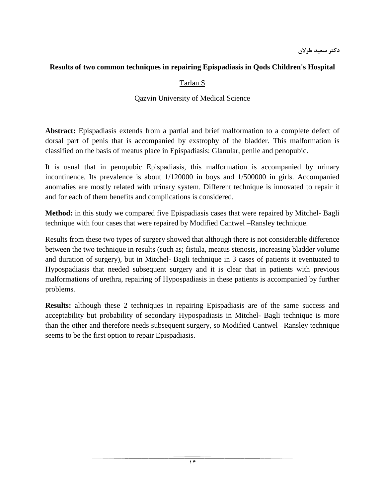### **Results of two common techniques in repairing Epispadiasis in Qods Children's Hospital**

### Tarlan S

#### Qazvin University of Medical Science

**Abstract:** Epispadiasis extends from a partial and brief malformation to a complete defect of dorsal part of penis that is accompanied by exstrophy of the bladder. This malformation is classified on the basis of meatus place in Epispadiasis: Glanular, penile and penopubic.

It is usual that in penopubic Epispadiasis, this malformation is accompanied by urinary incontinence. Its prevalence is about 1/120000 in boys and 1/500000 in girls. Accompanied anomalies are mostly related with urinary system. Different technique is innovated to repair it and for each of them benefits and complications is considered.

**Method:** in this study we compared five Epispadiasis cases that were repaired by Mitchel- Bagli technique with four cases that were repaired by Modified Cantwel –Ransley technique.

Results from these two types of surgery showed that although there is not considerable difference between the two technique in results (such as; fistula, meatus stenosis, increasing bladder volume and duration of surgery), but in Mitchel- Bagli technique in 3 cases of patients it eventuated to Hypospadiasis that needed subsequent surgery and it is clear that in patients with previous malformations of urethra, repairing of Hypospadiasis in these patients is accompanied by further problems.

**Results:** although these 2 techniques in repairing Epispadiasis are of the same success and acceptability but probability of secondary Hypospadiasis in Mitchel- Bagli technique is more than the other and therefore needs subsequent surgery, so Modified Cantwel –Ransley technique seems to be the first option to repair Epispadiasis.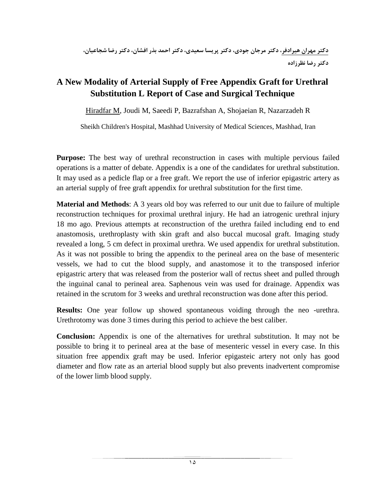# **A New Modality of Arterial Supply of Free Appendix Graft for Urethral Substitution L Report of Case and Surgical Technique**

Hiradfar M, Joudi M, Saeedi P, Bazrafshan A, Shojaeian R, Nazarzadeh R

Sheikh Children's Hospital, Mashhad University of Medical Sciences, Mashhad, Iran

**Purpose:** The best way of urethral reconstruction in cases with multiple pervious failed operations is a matter of debate. Appendix is a one of the candidates for urethral substitution. It may used as a pedicle flap or a free graft. We report the use of inferior epigastric artery as an arterial supply of free graft appendix for urethral substitution for the first time.

**Material and Methods**: A 3 years old boy was referred to our unit due to failure of multiple reconstruction techniques for proximal urethral injury. He had an iatrogenic urethral injury 18 mo ago. Previous attempts at reconstruction of the urethra failed including end to end anastomosis, urethroplasty with skin graft and also buccal mucosal graft. Imaging study revealed a long, 5 cm defect in proximal urethra. We used appendix for urethral substitution. As it was not possible to bring the appendix to the perineal area on the base of mesenteric vessels, we had to cut the blood supply, and anastomose it to the transposed inferior epigastric artery that was released from the posterior wall of rectus sheet and pulled through the inguinal canal to perineal area. Saphenous vein was used for drainage. Appendix was retained in the scrutom for 3 weeks and urethral reconstruction was done after this period.

**Results:** One year follow up showed spontaneous voiding through the neo -urethra. Urethrotomy was done 3 times during this period to achieve the best caliber.

**Conclusion:** Appendix is one of the alternatives for urethral substitution. It may not be possible to bring it to perineal area at the base of mesenteric vessel in every case. In this situation free appendix graft may be used. Inferior epigasteic artery not only has good diameter and flow rate as an arterial blood supply but also prevents inadvertent compromise of the lower limb blood supply.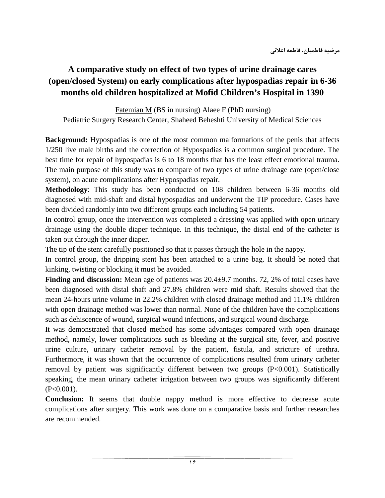# **A comparative study on effect of two types of urine drainage cares (open/closed System) on early complications after hypospadias repair in 6-36 months old children hospitalized at Mofid Children's Hospital in 1390**

Fatemian M (BS in nursing) Alaee F (PhD nursing) Pediatric Surgery Research Center, Shaheed Beheshti University of Medical Sciences

**Background:** Hypospadias is one of the most common malformations of the penis that affects 1/250 live male births and the correction of Hypospadias is a common surgical procedure. The best time for repair of hypospadias is 6 to 18 months that has the least effect emotional trauma. The main purpose of this study was to compare of two types of urine drainage care (open/close system), on acute complications after Hypospadias repair.

**Methodology**: This study has been conducted on 108 children between 6-36 months old diagnosed with mid-shaft and distal hypospadias and underwent the TIP procedure. Cases have been divided randomly into two different groups each including 54 patients.

In control group, once the intervention was completed a dressing was applied with open urinary drainage using the double diaper technique. In this technique, the distal end of the catheter is taken out through the inner diaper.

The tip of the stent carefully positioned so that it passes through the hole in the nappy.

In control group, the dripping stent has been attached to a urine bag. It should be noted that kinking, twisting or blocking it must be avoided.

**Finding and discussion:** Mean age of patients was  $20.4 \pm 9.7$  months. 72, 2% of total cases have been diagnosed with distal shaft and 27.8% children were mid shaft. Results showed that the mean 24-hours urine volume in 22.2% children with closed drainage method and 11.1% children with open drainage method was lower than normal. None of the children have the complications such as dehiscence of wound, surgical wound infections, and surgical wound discharge.

It was demonstrated that closed method has some advantages compared with open drainage method, namely, lower complications such as bleeding at the surgical site, fever, and positive urine culture, urinary catheter removal by the patient, fistula, and stricture of urethra. Furthermore, it was shown that the occurrence of complications resulted from urinary catheter removal by patient was significantly different between two groups (P<0.001). Statistically speaking, the mean urinary catheter irrigation between two groups was significantly different  $(P<0.001)$ .

**Conclusion:** It seems that double nappy method is more effective to decrease acute complications after surgery. This work was done on a comparative basis and further researches are recommended.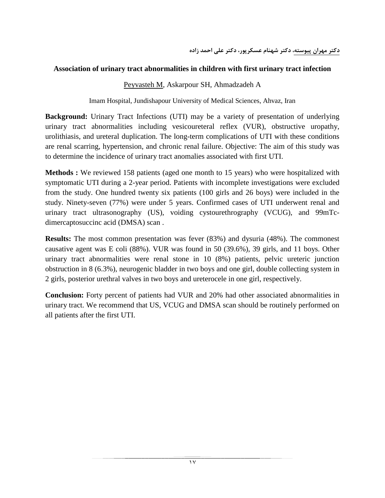#### **Association of urinary tract abnormalities in children with first urinary tract infection**

#### Peyvasteh M, [Askarpour](http://www.pakmedinet.com/author/Shahnam+Askarpour) SH, [Ahmadzadeh](http://www.pakmedinet.com/author/Ali+Ahmadzadeh) A

Imam Hospital, Jundishapour University of Medical Sciences, Ahvaz, Iran

**Background:** Urinary Tract Infections (UTI) may be a variety of presentation of underlying urinary tract abnormalities including vesicoureteral reflex (VUR), obstructive uropathy, urolithiasis, and ureteral duplication. The long-term complications of UTI with these conditions are renal scarring, hypertension, and chronic renal failure. Objective: The aim of this study was to determine the incidence of urinary tract anomalies associated with first UTI.

**Methods :** We reviewed 158 patients (aged one month to 15 years) who were hospitalized with symptomatic UTI during a 2-year period. Patients with incomplete investigations were excluded from the study. One hundred twenty six patients (100 girls and 26 boys) were included in the study. Ninety-seven (77%) were under 5 years. Confirmed cases of UTI underwent renal and urinary tract ultrasonography (US), voiding cystourethrography (VCUG), and 99mTcdimercaptosuccinc acid (DMSA) scan .

**Results:** The most common presentation was fever (83%) and dysuria (48%). The commonest causative agent was E coli (88%). VUR was found in 50 (39.6%), 39 girls, and 11 boys. Other urinary tract abnormalities were renal stone in 10 (8%) patients, pelvic ureteric junction obstruction in 8 (6.3%), neurogenic bladder in two boys and one girl, double collecting system in 2 girls, posterior urethral valves in two boys and ureterocele in one girl, respectively.

**Conclusion:** Forty percent of patients had VUR and 20% had other associated abnormalities in urinary tract. We recommend that US, VCUG and DMSA scan should be routinely performed on all patients after the first UTI.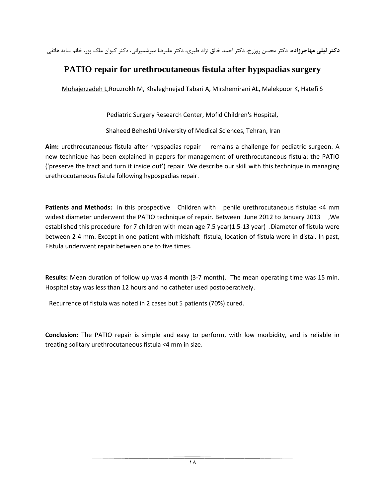**دكتر ليلي مهاجرزاده**، دكتر محسن روزرخ، دكتر احمد خالق نژاد طبري، دكتر عليرضا ميرشميراني، دكتر كيوان ملك پور، خانم سايه هاتفي

### **PATIO repair for urethrocutaneous fistula after hypspadias surgery**

Mohajerzadeh L,Rouzrokh M, Khaleghnejad Tabari A, Mirshemirani AL, Malekpoor K, Hatefi S

Pediatric Surgery Research Center, Mofid Children's Hospital,

Shaheed Beheshti University of Medical Sciences, Tehran, Iran

**Aim:** urethrocutaneous fistula after hypspadias repair remains a challenge for pediatric surgeon. A new technique has been explained in papers for management of urethrocutaneous fistula: the PATIO ('preserve the tract and turn it inside out') repair. We describe our skill with this technique in managing urethrocutaneous fistula following hypospadias repair.

**Patients and Methods:** in this prospective Children with penile urethrocutaneous fistulae <4 mm widest diameter underwent the PATIO technique of repair. Between June 2012 to January 2013 ,We established this procedure for 7 children with mean age 7.5 year(1.5-13 year) .Diameter of fistula were between 2-4 mm. Except in one patient with midshaft fistula, location of fistula were in distal. In past, Fistula underwent repair between one to five times.

**Results:** Mean duration of follow up was 4 month (3-7 month). The mean operating time was 15 min. Hospital stay was less than 12 hours and no catheter used postoperatively.

Recurrence of fistula was noted in 2 cases but 5 patients (70%) cured.

**Conclusion:** The PATIO repair is simple and easy to perform, with low morbidity, and is reliable in treating solitary urethrocutaneous fistula <4 mm in size.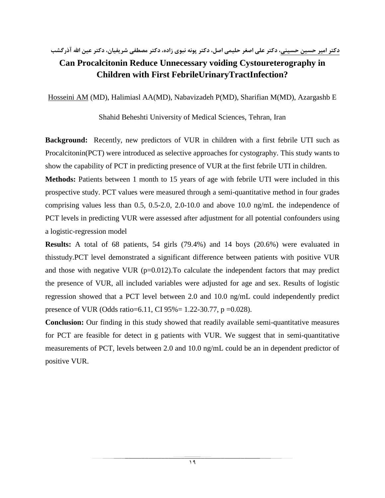### **دكتر امير حسين حسيني، دكتر علي اصغر حليمي اصل، دكتر پونه نبوي زاده، دكتر مصطفي شريفيان، دكتر عين االله آذرگشب**

# **Can Procalcitonin Reduce Unnecessary voiding Cystoureterography in Children with First FebrileUrinaryTractInfection?**

Hosseini AM (MD), Halimiasl AA(MD), Nabavizadeh P(MD), Sharifian M(MD), Azargashb E

### Shahid Beheshti University of Medical Sciences, Tehran, Iran

**Background:** Recently, new predictors of VUR in children with a first febrile UTI such as Procalcitonin(PCT) were introduced as selective approaches for cystography. This study wants to show the capability of PCT in predicting presence of VUR at the first febrile UTI in children.

**Methods:** Patients between 1 month to 15 years of age with febrile UTI were included in this prospective study. PCT values were measured through a semi-quantitative method in four grades comprising values less than 0.5, 0.5-2.0, 2.0-10.0 and above 10.0 ng/mL the independence of PCT levels in predicting VUR were assessed after adjustment for all potential confounders using a logistic-regression model

**Results:** A total of 68 patients, 54 girls (79.4%) and 14 boys (20.6%) were evaluated in thisstudy.PCT level demonstrated a significant difference between patients with positive VUR and those with negative VUR  $(p=0.012)$ . To calculate the independent factors that may predict the presence of VUR, all included variables were adjusted for age and sex. Results of logistic regression showed that a PCT level between 2.0 and 10.0 ng/mL could independently predict presence of VUR (Odds ratio=6.11, CI 95%= 1.22-30.77, p =0.028).

**Conclusion:** Our finding in this study showed that readily available semi-quantitative measures for PCT are feasible for detect in g patients with VUR. We suggest that in semi-quantitative measurements of PCT, levels between 2.0 and 10.0 ng/mL could be an in dependent predictor of positive VUR.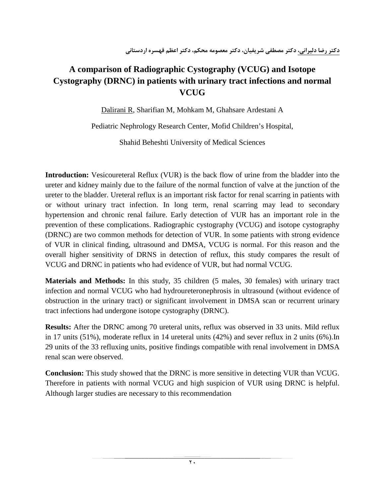# **A comparison of Radiographic Cystography (VCUG) and Isotope Cystography (DRNC) in patients with urinary tract infections and normal VCUG**

Dalirani R, Sharifian M, Mohkam M, Ghahsare Ardestani A

Pediatric Nephrology Research Center, Mofid Children's Hospital,

Shahid Beheshti University of Medical Sciences

**Introduction:** Vesicoureteral Reflux (VUR) is the back flow of urine from the bladder into the ureter and kidney mainly due to the failure of the normal function of valve at the junction of the ureter to the bladder. Ureteral reflux is an important risk factor for renal scarring in patients with or without urinary tract infection. In long term, renal scarring may lead to secondary hypertension and chronic renal failure. Early detection of VUR has an important role in the prevention of these complications. Radiographic cystography (VCUG) and isotope cystography (DRNC) are two common methods for detection of VUR. In some patients with strong evidence of VUR in clinical finding, ultrasound and DMSA, VCUG is normal. For this reason and the overall higher sensitivity of DRNS in detection of reflux, this study compares the result of VCUG and DRNC in patients who had evidence of VUR, but had normal VCUG.

**Materials and Methods:** In this study, 35 children (5 males, 30 females) with urinary tract infection and normal VCUG who had hydroureteronephrosis in ultrasound (without evidence of obstruction in the urinary tract) or significant involvement in DMSA scan or recurrent urinary tract infections had undergone isotope cystography (DRNC).

**Results:** After the DRNC among 70 ureteral units, reflux was observed in 33 units. Mild reflux in 17 units (51%), moderate reflux in 14 ureteral units (42%) and sever reflux in 2 units (6%).In 29 units of the 33 refluxing units, positive findings compatible with renal involvement in DMSA renal scan were observed.

**Conclusion:** This study showed that the DRNC is more sensitive in detecting VUR than VCUG. Therefore in patients with normal VCUG and high suspicion of VUR using DRNC is helpful. Although larger studies are necessary to this recommendation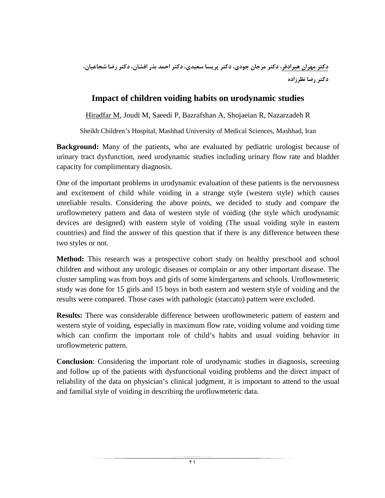**دكتر مهران هيرادفر، دكتر مرجان جودي، دكتر پريسا سعيدي، دكتر احمد بذر افشان، دكتر رضا شجاعيان، دكتر رضا نظرزاده**

### **Impact of children voiding habits on urodynamic studies**

Hiradfar M, Joudi M, Saeedi P, Bazrafshan A, Shojaeian R, Nazarzadeh R

Sheikh Children's Hospital, Mashhad University of Medical Sciences, Mashhad, Iran

**Background:** Many of the patients, who are evaluated by pediatric urologist because of urinary tract dysfunction, need urodynamic studies including urinary flow rate and bladder capacity for complimentary diagnosis.

One of the important problems in urodynamic evaluation of these patients is the nervousness and excitement of child while voiding in a strange style (western style) which causes unreliable results. Considering the above points, we decided to study and compare the uroflowmetery pattern and data of western style of voiding (the style which urodynamic devices are designed) with eastern style of voiding (The usual voiding style in eastern countries) and find the answer of this question that if there is any difference between these two styles or not.

**Method:** This research was a prospective cohort study on healthy preschool and school children and without any urologic diseases or complain or any other important disease. The cluster sampling was from boys and girls of some kindergartens and schools. Uroflowmeteric study was done for 15 girls and 15 boys in both eastern and western style of voiding and the results were compared. Those cases with pathologic (staccato) pattern were excluded.

**Results:** There was considerable difference between uroflowmeteric pattern of eastern and western style of voiding, especially in maximum flow rate, voiding volume and voiding time which can confirm the important role of child's habits and usual voiding behavior in uroflowmeteric pattern.

**Conclusion**: Considering the important role of urodynamic studies in diagnosis, screening and follow up of the patients with dysfunctional voiding problems and the direct impact of reliability of the data on physician's clinical judgment, it is important to attend to the usual and familial style of voiding in describing the uroflowmeteric data.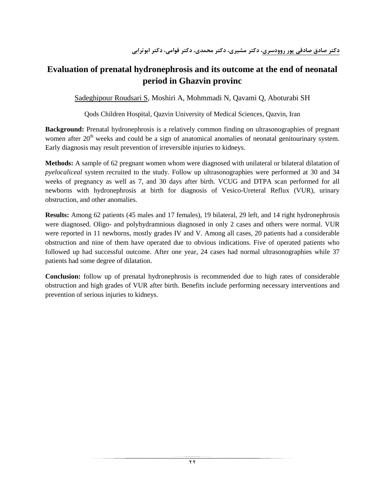# **Evaluation of prenatal hydronephrosis and its outcome at the end of neonatal period in Ghazvin provinc**

Sadeghipour Roudsari S, Moshiri A, Mohmmadi N, Qavami Q, Aboturabi SH

Qods Children Hospital, Qazvin University of Medical Sciences, Qazvin, Iran

**Background:** Prenatal hydronephrosis is a relatively common finding on ultrasonographies of pregnant women after 20<sup>th</sup> weeks and could be a sign of anatomical anomalies of neonatal genitourinary system. Early diagnosis may result prevention of irreversible injuries to kidneys.

**Methods:** A sample of 62 pregnant women whom were diagnosed with unilateral or bilateral dilatation of *pyelocaliceal* system recruited to the study. Follow up ultrasonographies were performed at 30 and 34 weeks of pregnancy as well as 7, and 30 days after birth. VCUG and DTPA scan performed for all newborns with hydronephrosis at birth for diagnosis of Vesico-Ureteral Reflux (VUR), urinary obstruction, and other anomalies.

**Results:** Among 62 patients (45 males and 17 females), 19 bilateral, 29 left, and 14 right hydronephrosis were diagnosed. Oligo- and polyhydramnious diagnosed in only 2 cases and others were normal. VUR were reported in 11 newborns, mostly grades IV and V. Among all cases, 20 patients had a considerable obstruction and nine of them have operated due to obvious indications. Five of operated patients who followed up had successful outcome. After one year, 24 cases had normal ultrasonographies while 37 patients had some degree of dilatation.

**Conclusion:** follow up of prenatal hydronephrosis is recommended due to high rates of considerable obstruction and high grades of VUR after birth. Benefits include performing necessary interventions and prevention of serious injuries to kidneys.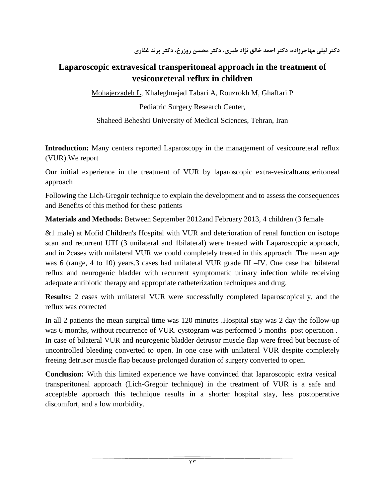# **Laparoscopic extravesical transperitoneal approach in the treatment of vesicoureteral reflux in children**

Mohajerzadeh L, Khaleghnejad Tabari A, Rouzrokh M, Ghaffari P

Pediatric Surgery Research Center,

Shaheed Beheshti University of Medical Sciences, Tehran, Iran

**Introduction:** Many centers reported Laparoscopy in the management of vesicoureteral reflux (VUR).We report

Our initial experience in the treatment of VUR by laparoscopic extra-vesicaltransperitoneal approach

Following the Lich-Gregoir technique to explain the development and to assess the consequences and Benefits of this method for these patients

**Materials and Methods:** Between September 2012and February 2013, 4 children (3 female

&1 male) at Mofid Children's Hospital with VUR and deterioration of renal function on isotope scan and recurrent UTI (3 unilateral and 1bilateral) were treated with Laparoscopic approach, and in 2cases with unilateral VUR we could completely treated in this approach .The mean age was 6 (range, 4 to 10) years.3 cases had unilateral VUR grade III –IV. One case had bilateral reflux and neurogenic bladder with recurrent symptomatic urinary infection while receiving adequate antibiotic therapy and appropriate catheterization techniques and drug.

**Results:** 2 cases with unilateral VUR were successfully completed laparoscopically, and the reflux was corrected

In all 2 patients the mean surgical time was 120 minutes .Hospital stay was 2 day the follow-up was 6 months, without recurrence of VUR. cystogram was performed 5 months post operation . In case of bilateral VUR and neurogenic bladder detrusor muscle flap were freed but because of uncontrolled bleeding converted to open. In one case with unilateral VUR despite completely freeing detrusor muscle flap because prolonged duration of surgery converted to open.

**Conclusion:** With this limited experience we have convinced that laparoscopic extra vesical transperitoneal approach (Lich-Gregoir technique) in the treatment of VUR is a safe and acceptable approach this technique results in a shorter hospital stay, less postoperative discomfort, and a low morbidity.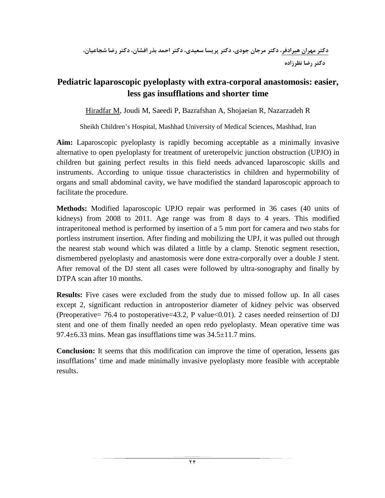# **Pediatric laparoscopic pyeloplasty with extra-corporal anastomosis: easier, less gas insufflations and shorter time**

Hiradfar M, Joudi M, Saeedi P, Bazrafshan A, Shojaeian R, Nazarzadeh R

Sheikh Children's Hospital, Mashhad University of Medical Sciences, Mashhad, Iran

**Aim:** Laparoscopic pyeloplasty is rapidly becoming acceptable as a minimally invasive alternative to open pyeloplasty for treatment of ureteropelvic junction obstruction (UPJO) in children but gaining perfect results in this field needs advanced laparoscopic skills and instruments. According to unique tissue characteristics in children and hypermobility of organs and small abdominal cavity, we have modified the standard laparoscopic approach to facilitate the procedure.

**Methods:** Modified laparoscopic UPJO repair was performed in 36 cases (40 units of kidneys) from 2008 to 2011. Age range was from 8 days to 4 years. This modified intraperitoneal method is performed by insertion of a 5 mm port for camera and two stabs for portless instrument insertion. After finding and mobilizing the UPJ, it was pulled out through the nearest stab wound which was dilated a little by a clamp. Stenotic segment resection, dismembered pyeloplasty and anastomosis were done extra-corporally over a double J stent. After removal of the DJ stent all cases were followed by ultra-sonography and finally by DTPA scan after 10 months.

**Results:** Five cases were excluded from the study due to missed follow up. In all cases except 2, significant reduction in antroposterior diameter of kidney pelvic was observed (Preoperative= 76.4 to postoperative=43.2, P value<0.01). 2 cases needed reinsertion of DJ stent and one of them finally needed an open redo pyeloplasty. Mean operative time was 97.4 $\pm$ 6.33 mins. Mean gas insufflations time was  $34.5\pm$ 11.7 mins.

**Conclusion:** It seems that this modification can improve the time of operation, lessens gas insufflations' time and made minimally invasive pyeloplasty more feasible with acceptable results.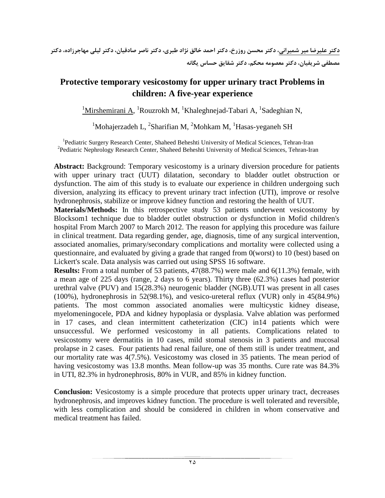# **Protective temporary vesicostomy for upper urinary tract Problems in children: A five-year experience**

 $\frac{1}{1}$ Mirshemirani A, <sup>1</sup>Rouzrokh M, <sup>1</sup>Khaleghnejad-Tabari A, <sup>1</sup>Sadeghian N,

 $1$ Mohajerzadeh L,  $2$ Sharifian M,  $2$ Mohkam M,  $1$ Hasas-yeganeh SH

<sup>1</sup> Pediatric Surgery Research Center, Shaheed Beheshti University of Medical Sciences, Tehran-Iran <sup>2</sup><br><sup>2</sup> Pediatric Naphrelogy Research Center, Shaheed Beheshti University of Medical Sciences, Tehran Iran <sup>2</sup> Pediatric Nephrology Research Center, Shaheed Beheshti University of Medical Sciences, Tehran-Iran

**Abstract:** Background: Temporary vesicostomy is a urinary diversion procedure for patients with upper urinary tract (UUT) dilatation, secondary to bladder outlet obstruction or dysfunction. The aim of this study is to evaluate our experience in children undergoing such diversion, analyzing its efficacy to prevent urinary tract infection (UTI), improve or resolve hydronephrosis, stabilize or improve kidney function and restoring the health of UUT.

**Materials/Methods:** In this retrospective study 53 patients underwent vesicostomy by Blocksom1 technique due to bladder outlet obstruction or dysfunction in Mofid children's hospital From March 2007 to March 2012. The reason for applying this procedure was failure in clinical treatment. Data regarding gender, age, diagnosis, time of any surgical intervention, associated anomalies, primary/secondary complications and mortality were collected using a questionnaire, and evaluated by giving a grade that ranged from 0(worst) to 10 (best) based on Lickert's scale. Data analysis was carried out using SPSS 16 software.

**Results:** From a total number of 53 patients, 47(88.7%) were male and 6(11.3%) female, with a mean age of 225 days (range, 2 days to 6 years). Thirty three (62.3%) cases had posterior urethral valve (PUV) and 15(28.3%) neurogenic bladder (NGB).UTI was present in all cases (100%), hydronephrosis in 52(98.1%), and vesico-ureteral reflux (VUR) only in 45(84.9%) patients. The most common associated anomalies were multicystic kidney disease, myelomeningocele, PDA and kidney hypoplasia or dysplasia. Valve ablation was performed in 17 cases, and clean intermittent catheterization (CIC) in14 patients which were unsuccessful. We performed vesicostomy in all patients. Complications related to vesicostomy were dermatitis in 10 cases, mild stomal stenosis in 3 patients and mucosal prolapse in 2 cases. Four patients had renal failure, one of them still is under treatment, and our mortality rate was 4(7.5%). Vesicostomy was closed in 35 patients. The mean period of having vesicostomy was 13.8 months. Mean follow-up was 35 months. Cure rate was 84.3% in UTI, 82.3% in hydronephrosis, 80% in VUR, and 85% in kidney function.

**Conclusion:** Vesicostomy is a simple procedure that protects upper urinary tract, decreases hydronephrosis, and improves kidney function. The procedure is well tolerated and reversible, with less complication and should be considered in children in whom conservative and medical treatment has failed.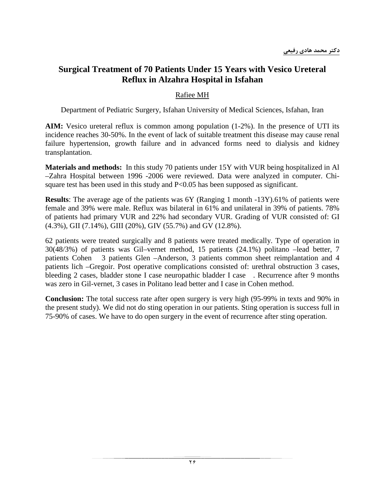### **Surgical Treatment of 70 Patients Under 15 Years with Vesico Ureteral Reflux in Alzahra Hospital in Isfahan**

### Rafiee MH

Department of Pediatric Surgery, Isfahan University of Medical Sciences, Isfahan, Iran

**AIM:** Vesico ureteral reflux is common among population (1-2%). In the presence of UTI its incidence reaches 30-50%. In the event of lack of suitable treatment this disease may cause renal failure hypertension, growth failure and in advanced forms need to dialysis and kidney transplantation.

**Materials and methods:** In this study 70 patients under 15Y with VUR being hospitalized in Al –Zahra Hospital between 1996 -2006 were reviewed. Data were analyzed in computer. Chisquare test has been used in this study and  $P<0.05$  has been supposed as significant.

**Results**: The average age of the patients was 6Y (Ranging 1 month -13Y).61% of patients were female and 39% were male. Reflux was bilateral in 61% and unilateral in 39% of patients. 78% of patients had primary VUR and 22% had secondary VUR. Grading of VUR consisted of: GI (4.3%), GII (7.14%), GIII (20%), GIV (55.7%) and GV (12.8%).

62 patients were treated surgically and 8 patients were treated medically. Type of operation in 30(48/3%) of patients was Gil–vernet method, 15 patients (24.1%) politano –lead better, 7 patients Cohen 3 patients Glen –Anderson, 3 patients common sheet reimplantation and 4 patients lich –Gregoir. Post operative complications consisted of: urethral obstruction 3 cases, bleeding 2 cases, bladder stone I case neuropathic bladder I case . Recurrence after 9 months was zero in Gil-vernet, 3 cases in Politano lead better and I case in Cohen method.

**Conclusion:** The total success rate after open surgery is very high (95-99% in texts and 90% in the present study). We did not do sting operation in our patients. Sting operation is success full in 75-90% of cases. We have to do open surgery in the event of recurrence after sting operation.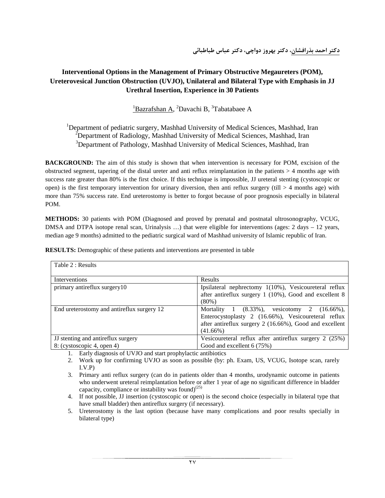### **Interventional Options in the Management of Primary Obstructive Megaureters (POM), Ureterovesical Junction Obstruction (UVJO), Unilateral and Bilateral Type with Emphasis in JJ Urethral Insertion, Experience in 30 Patients**

#### <sup>1</sup>Bazrafshan A, <sup>2</sup>Davachi B, <sup>3</sup>Tabatabaee A

<sup>1</sup>Department of pediatric surgery, Mashhad University of Medical Sciences, Mashhad, Iran <sup>2</sup>Department of Radiology, Mashhad University of Medical Sciences, Mashhad, Iran <sup>3</sup>Department of Pathology, Mashhad University of Medical Sciences, Mashhad, Iran

**BACKGROUND:** The aim of this study is shown that when intervention is necessary for POM, excision of the obstructed segment, tapering of the distal ureter and anti reflux reimplantation in the patients  $> 4$  months age with success rate greater than 80% is the first choice. If this technique is impossible, JJ ureteral stenting (cystoscopic or open) is the first temporary intervention for urinary diversion, then anti reflux surgery (till  $>$  4 months age) with more than 75% success rate. End ureterostomy is better to forgot because of poor prognosis especially in bilateral POM.

**METHODS:** 30 patients with POM (Diagnosed and proved by prenatal and postnatal ultrosonography, VCUG, DMSA and DTPA isotope renal scan, Urinalysis ...) that were eligible for interventions (ages: 2 days – 12 years, median age 9 months) admitted to the pediatric surgical ward of Mashhad university of Islamic republic of Iran.

| Table 2 : Results                          |                                                                 |
|--------------------------------------------|-----------------------------------------------------------------|
| Interventions                              | Results                                                         |
| primary antireflux surgery10               | Ipsilateral nephrectomy 1(10%), Vesicoureteral reflux           |
|                                            | after antireflux surgery 1 (10%), Good and excellent 8          |
|                                            | $(80\%)$                                                        |
| End ureterostomy and antireflux surgery 12 | Mortality 1<br>$(8.33\%)$ ,<br>2<br>vesicotomy<br>$(16.66\%)$ , |
|                                            | Enterocystoplasty 2 (16.66%), Vesicoureteral reflux             |
|                                            | after antireflux surgery 2 (16.66%), Good and excellent         |
|                                            | $(41.66\%)$                                                     |
| JJ stenting and antireflux surgery         | Vesicoureteral reflux after antireflux surgery 2 (25%)          |
| 8: (cystoscopic 4, open 4)                 | Good and excellent 6 (75%)                                      |

**RESULTS:** Demographic of these patients and interventions are presented in table

1. Early diagnosis of UVJO and start prophylactic antibiotics

2. Work up for confirming UVJO as soon as possible (by: ph. Exam, US, VCUG, Isotope scan, rarely I.V.P)

3. Primary anti reflux surgery (can do in patients older than 4 months, urodynamic outcome in patients who underwent ureteral reimplantation before or after 1 year of age no significant difference in bladder capacity, compliance or instability was found) $^{(25)}$ 

- 4. If not possible, JJ insertion (cystoscopic or open) is the second choice (especially in bilateral type that have small bladder) then antireflux surgery (if necessary).
- 5. Ureterostomy is the last option (because have many complications and poor results specially in bilateral type)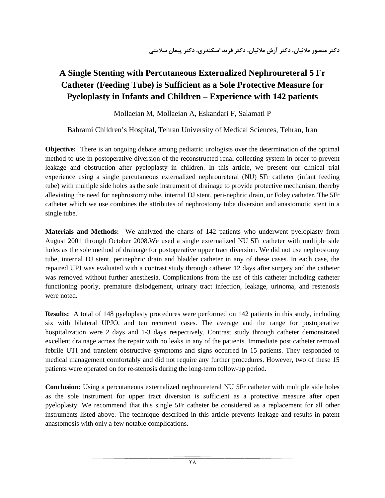# **A Single Stenting with Percutaneous Externalized Nephroureteral 5 Fr Catheter (Feeding Tube) is Sufficient as a Sole Protective Measure for Pyeloplasty in Infants and Children – Experience with 142 patients**

Mollaeian M, Mollaeian A, Eskandari F, Salamati P

Bahrami Children's Hospital, Tehran University of Medical Sciences, Tehran, Iran

**Objective:** There is an ongoing debate among pediatric urologists over the determination of the optimal method to use in postoperative diversion of the reconstructed renal collecting system in order to prevent leakage and obstruction after pyeloplasty in children. In this article, we present our clinical trial experience using a single percutaneous externalized nephroureteral (NU) 5Fr catheter (infant feeding tube) with multiple side holes as the sole instrument of drainage to provide protective mechanism, thereby alleviating the need for nephrostomy tube, internal DJ stent, peri-nephric drain, or Foley catheter. The 5Fr catheter which we use combines the attributes of nephrostomy tube diversion and anastomotic stent in a single tube.

**Materials and Methods:** We analyzed the charts of 142 patients who underwent pyeloplasty from August 2001 through October 2008.We used a single externalized NU 5Fr catheter with multiple side holes as the sole method of drainage for postoperative upper tract diversion. We did not use nephrostomy tube, internal DJ stent, perinephric drain and bladder catheter in any of these cases. In each case, the repaired UPJ was evaluated with a contrast study through catheter 12 days after surgery and the catheter was removed without further anesthesia. Complications from the use of this catheter including catheter functioning poorly, premature dislodgement, urinary tract infection, leakage, urinoma, and restenosis were noted.

**Results:** A total of 148 pyeloplasty procedures were performed on 142 patients in this study, including six with bilateral UPJO, and ten recurrent cases. The average and the range for postoperative hospitalization were 2 days and 1-3 days respectively. Contrast study through catheter demonstrated excellent drainage across the repair with no leaks in any of the patients. Immediate post catheter removal febrile UTI and transient obstructive symptoms and signs occurred in 15 patients. They responded to medical management comfortably and did not require any further procedures. However, two of these 15 patients were operated on for re-stenosis during the long-term follow-up period.

**Conclusion:** Using a percutaneous externalized nephroureteral NU 5Fr catheter with multiple side holes as the sole instrument for upper tract diversion is sufficient as a protective measure after open pyeloplasty. We recommend that this single 5Fr catheter be considered as a replacement for all other instruments listed above. The technique described in this article prevents leakage and results in patent anastomosis with only a few notable complications.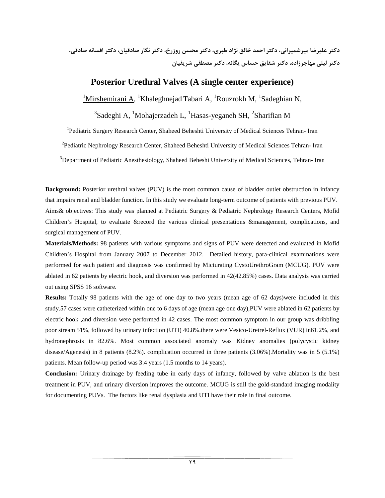**دكتر عليرضا ميرشميراني، دكتر احمد خالق نژاد طبري، دكتر محسن روزرخ، دكتر نگار صادقيان، دكتر افسانه صادقي، دكتر ليلي مهاجرزاده، دكتر شقايق حساس يگانه، دكتر مصطفي شريفيان**

#### **Posterior Urethral Valves (A single center experience)**

 $1$ Mirshemirani A, <sup>1</sup>Khaleghnejad Tabari A, <sup>1</sup>Rouzrokh M, <sup>1</sup>Sadeghian N,

 $^3$ Sadeghi A, <sup>1</sup>Mohajerzadeh L, <sup>1</sup>Hasas-yeganeh SH, <sup>2</sup>Sharifian M

<sup>1</sup>Pediatric Surgery Research Center, Shaheed Beheshti University of Medical Sciences Tehran- Iran

<sup>2</sup> Pediatric Nephrology Research Center, Shaheed Beheshti University of Medical Sciences Tehran- Iran

<sup>3</sup>Department of Pediatric Anesthesiology, Shaheed Beheshi University of Medical Sciences, Tehran- Iran

**Background:** Posterior urethral valves (PUV) is the most common cause of bladder outlet obstruction in infancy that impairs renal and bladder function. In this study we evaluate long-term outcome of patients with previous PUV. Aims& objectives: This study was planned at Pediatric Surgery & Pediatric Nephrology Research Centers, Mofid Children's Hospital, to evaluate &record the various clinical presentations &management, complications, and surgical management of PUV.

**Materials/Methods:** 98 patients with various symptoms and signs of PUV were detected and evaluated in Mofid Children's Hospital from January 2007 to December 2012. Detailed history, para-clinical examinations were performed for each patient and diagnosis was confirmed by Micturating CystoUrethroGram (MCUG). PUV were ablated in 62 patients by electric hook, and diversion was performed in 42(42.85%) cases. Data analysis was carried out using SPSS 16 software.

**Results:** Totally 98 patients with the age of one day to two years (mean age of 62 days)were included in this study.57 cases were catheterized within one to 6 days of age (mean age one day),PUV were ablated in 62 patients by electric hook ,and diversion were performed in 42 cases. The most common symptom in our group was dribbling poor stream 51%, followed by urinary infection (UTI) 40.8%.there were Vesico-Uretrel-Reflux (VUR) in61.2%, and hydronephrosis in 82.6%. Most common associated anomaly was Kidney anomalies (polycystic kidney disease/Agenesis) in 8 patients (8.2%). complication occurred in three patients (3.06%).Mortality was in 5 (5.1%) patients. Mean follow-up period was 3.4 years (1.5 months to 14 years).

**Conclusion:** Urinary drainage by feeding tube in early days of infancy, followed by valve ablation is the best treatment in PUV, and urinary diversion improves the outcome. MCUG is still the gold-standard imaging modality for documenting PUVs. The factors like renal dysplasia and UTI have their role in final outcome.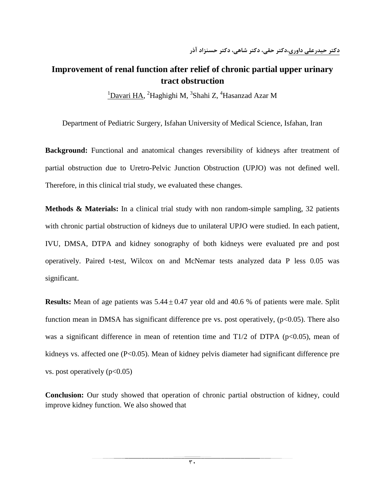### **Improvement of renal function after relief of chronic partial upper urinary tract obstruction**

<sup>1</sup>Davari HA, <sup>2</sup>Haghighi M, <sup>3</sup>Shahi Z, <sup>4</sup>Hasanzad Azar M

Department of Pediatric Surgery, Isfahan University of Medical Science, Isfahan, Iran

**Background:** Functional and anatomical changes reversibility of kidneys after treatment of partial obstruction due to Uretro-Pelvic Junction Obstruction (UPJO) was not defined well. Therefore, in this clinical trial study, we evaluated these changes.

**Methods & Materials:** In a clinical trial study with non random-simple sampling, 32 patients with chronic partial obstruction of kidneys due to unilateral UPJO were studied. In each patient, IVU, DMSA, DTPA and kidney sonography of both kidneys were evaluated pre and post operatively. Paired t-test, Wilcox on and McNemar tests analyzed data P less 0.05 was significant.

**Results:** Mean of age patients was  $5.44 \pm 0.47$  year old and 40.6 % of patients were male. Split function mean in DMSA has significant difference pre vs. post operatively,  $(p<0.05)$ . There also was a significant difference in mean of retention time and  $T/2$  of DTPA (p<0.05), mean of kidneys vs. affected one (P<0.05). Mean of kidney pelvis diameter had significant difference pre vs. post operatively  $(p<0.05)$ 

**Conclusion:** Our study showed that operation of chronic partial obstruction of kidney, could improve kidney function. We also showed that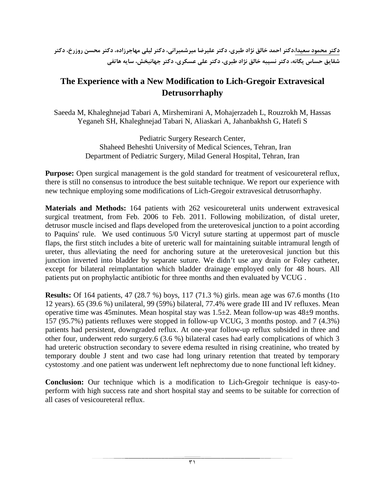**دكتر محمود سعيدا،دكتر احمد خالق نژاد طبري، دكتر عليرضا ميرشميراني، دكتر ليلي مهاجرزاده، دكتر محسن روزرخ، دكتر شقايق حساس يگانه، دكتر نسيبه خالق نژاد طبري، دكتر علي عسكري، دكتر جهانبخش، سايه هاتفي**

### **The Experience with a New Modification to Lich-Gregoir Extravesical Detrusorrhaphy**

Saeeda M, Khaleghnejad Tabari A, Mirshemirani A, Mohajerzadeh L, Rouzrokh M, Hassas Yeganeh SH, Khaleghnejad Tabari N, Aliaskari A, Jahanbakhsh G, Hatefi S

> Pediatric Surgery Research Center, Shaheed Beheshti University of Medical Sciences, Tehran, Iran Department of Pediatric Surgery, Milad General Hospital, Tehran, Iran

**Purpose:** Open surgical management is the gold standard for treatment of vesicoureteral reflux, there is still no consensus to introduce the best suitable technique. We report our experience with new technique employing some modifications of Lich-Gregoir extravesical detrusorrhaphy.

**Materials and Methods:** 164 patients with 262 vesicoureteral units underwent extravesical surgical treatment, from Feb. 2006 to Feb. 2011. Following mobilization, of distal ureter, detrusor muscle incised and flaps developed from the ureterovesical junction to a point according to Paquins' rule. We used continuous 5/0 Vicryl suture starting at uppermost part of muscle flaps, the first stitch includes a bite of ureteric wall for maintaining suitable intramural length of ureter, thus alleviating the need for anchoring suture at the ureterovesical junction but this junction inverted into bladder by separate suture. We didn't use any drain or Foley catheter, except for bilateral reimplantation which bladder drainage employed only for 48 hours. All patients put on prophylactic antibiotic for three months and then evaluated by VCUG .

**Results:** Of 164 patients, 47 (28.7 %) boys, 117 (71.3 %) girls. mean age was 67.6 months (1to 12 years). 65 (39.6 %) unilateral, 99 (59%) bilateral, 77.4% were grade III and IV refluxes. Mean operative time was 45minutes. Mean hospital stay was 1.5±2. Mean follow-up was 48±9 months. 157 (95.7%) patients refluxes were stopped in follow-up VCUG, 3 months postop. and 7 (4.3%) patients had persistent, downgraded reflux. At one-year follow-up reflux subsided in three and other four, underwent redo surgery.6 (3.6 %) bilateral cases had early complications of which 3 had ureteric obstruction secondary to severe edema resulted in rising creatinine, who treated by temporary double J stent and two case had long urinary retention that treated by temporary cystostomy .and one patient was underwent left nephrectomy due to none functional left kidney.

**Conclusion:** Our technique which is a modification to Lich-Gregoir technique is easy-toperform with high success rate and short hospital stay and seems to be suitable for correction of all cases of vesicoureteral reflux**.**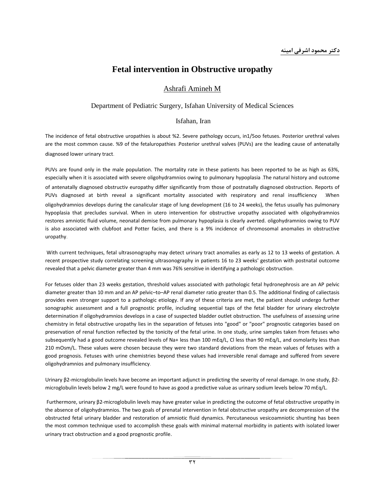### **Fetal intervention in Obstructive uropathy**

#### Ashrafi Amineh M

#### Department of Pediatric Surgery, Isfahan University of Medical Sciences

#### Isfahan, Iran

The incidence of fetal obstructive uropathies is about %2. Severe pathology occurs, in1/5oo fetuses. Posterior urethral valves are the most common cause. %9 of the fetaluropathies .Posterior urethral valves (PUVs) are the leading cause of antenatally diagnosed lower urinary tract.

PUVs are found only in the male population. The mortality rate in these patients has been reported to be as high as 63%, especially when it is associated with severe oligohydramnios owing to pulmonary hypoplasia .The natural history and outcome of antenatally diagnosed obstructiv europathy differ significantly from those of postnatally diagnosed obstruction. Reports of PUVs diagnosed at birth reveal a significant mortality associated with respiratory and renal insufficiency .When oligohydramnios develops during the canalicular stage of lung development (16 to 24 weeks), the fetus usually has pulmonary hypoplasia that precludes survival. When in utero intervention for obstructive uropathy associated with oligohydramnios restores amniotic fluid volume, neonatal demise from pulmonary hypoplasia is clearly averted. oligohydramnios owing to PUV is also associated with clubfoot and Potter facies, and there is a 9% incidence of chromosomal anomalies in obstructive uropathy.

With current techniques, fetal ultrasonography may detect urinary tract anomalies as early as 12 to 13 weeks of gestation. A recent prospective study correlating screening ultrasonography in patients 16 to 23 weeks' gestation with postnatal outcome revealed that a pelvic diameter greater than 4 mm was 76% sensitive in identifying a pathologic obstruction.

For fetuses older than 23 weeks gestation, threshold values associated with pathologic fetal hydronephrosis are an AP pelvic diameter greater than 10 mm and an AP pelvic–to–AP renal diameter ratio greater than 0.5. The additional finding of caliectasis provides even stronger support to a pathologic etiology. If any of these criteria are met, the patient should undergo further sonographic assessment and a full prognostic profile, including sequential taps of the fetal bladder for urinary electrolyte determination if oligohydramnios develops in a case of suspected bladder outlet obstruction. The usefulness of assessing urine chemistry in fetal obstructive uropathy lies in the separation of fetuses into "good" or "poor" prognostic categories based on preservation of renal function reflected by the tonicity of the fetal urine. In one study, urine samples taken from fetuses who subsequently had a good outcome revealed levels of Na+ less than 100 mEq/L, Cl less than 90 mEq/L, and osmolarity less than 210 mOsm/L. These values were chosen because they were two standard deviations from the mean values of fetuses with a good prognosis. Fetuses with urine chemistries beyond these values had irreversible renal damage and suffered from severe oligohydramnios and pulmonary insufficiency.

Urinary β2-microglobulin levels have become an important adjunct in predicting the severity of renal damage. In one study, β2 microglobulin levels below 2 mg/L were found to have as good a predictive value as urinary sodium levels below 70 mEq/L.

Furthermore, urinary β2-microglobulin levels may have greater value in predicting the outcome of fetal obstructive uropathy in the absence of oligohydramnios. The two goals of prenatal intervention in fetal obstructive uropathy are decompression of the obstructed fetal urinary bladder and restoration of amniotic fluid dynamics. Percutaneous vesicoamniotic shunting has been the most common technique used to accomplish these goals with minimal maternal morbidity in patients with isolated lower urinary tract obstruction and a good prognostic profile**.**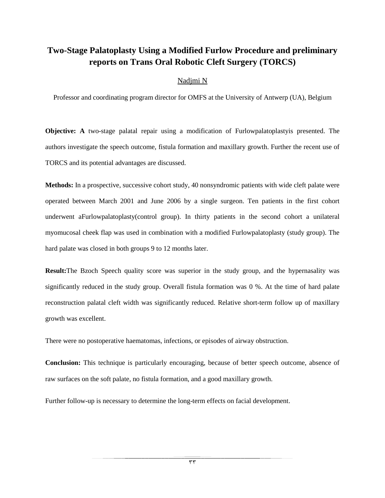### **Two-Stage Palatoplasty Using a Modified Furlow Procedure and preliminary reports on Trans Oral Robotic Cleft Surgery (TORCS)**

#### Nadjmi N

Professor and coordinating program director for OMFS at the University of Antwerp (UA), Belgium

**Objective: A** two-stage palatal repair using a modification of Furlowpalatoplastyis presented. The authors investigate the speech outcome, fistula formation and maxillary growth. Further the recent use of TORCS and its potential advantages are discussed.

**Methods:** In a prospective, successive cohort study, 40 nonsyndromic patients with wide cleft palate were operated between March 2001 and June 2006 by a single surgeon. Ten patients in the first cohort underwent aFurlowpalatoplasty(control group). In thirty patients in the second cohort a unilateral myomucosal cheek flap was used in combination with a modified Furlowpalatoplasty (study group). The hard palate was closed in both groups 9 to 12 months later.

**Result:**The Bzoch Speech quality score was superior in the study group, and the hypernasality was significantly reduced in the study group. Overall fistula formation was 0 %. At the time of hard palate reconstruction palatal cleft width was significantly reduced. Relative short-term follow up of maxillary growth was excellent.

There were no postoperative haematomas, infections, or episodes of airway obstruction.

**Conclusion:** This technique is particularly encouraging, because of better speech outcome, absence of raw surfaces on the soft palate, no fistula formation, and a good maxillary growth.

Further follow-up is necessary to determine the long-term effects on facial development.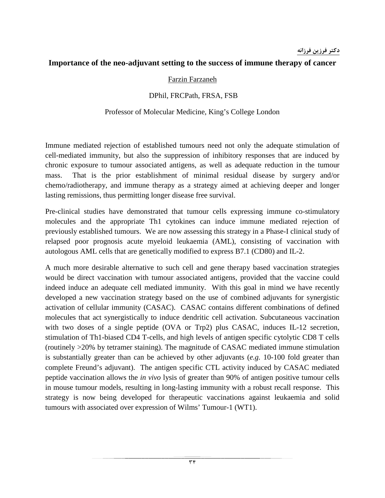### **دكتر فرزين فرزانه**

### **Importance of the neo-adjuvant setting to the success of immune therapy of cancer**

#### Farzin Farzaneh

### DPhil, FRCPath, FRSA, FSB

### Professor of Molecular Medicine, King's College London

Immune mediated rejection of established tumours need not only the adequate stimulation of cell-mediated immunity, but also the suppression of inhibitory responses that are induced by chronic exposure to tumour associated antigens, as well as adequate reduction in the tumour mass. That is the prior establishment of minimal residual disease by surgery and/or chemo/radiotherapy, and immune therapy as a strategy aimed at achieving deeper and longer lasting remissions, thus permitting longer disease free survival.

Pre-clinical studies have demonstrated that tumour cells expressing immune co-stimulatory molecules and the appropriate Th1 cytokines can induce immune mediated rejection of previously established tumours. We are now assessing this strategy in a Phase-I clinical study of relapsed poor prognosis acute myeloid leukaemia (AML), consisting of vaccination with autologous AML cells that are genetically modified to express B7.1 (CD80) and IL-2.

A much more desirable alternative to such cell and gene therapy based vaccination strategies would be direct vaccination with tumour associated antigens, provided that the vaccine could indeed induce an adequate cell mediated immunity. With this goal in mind we have recently developed a new vaccination strategy based on the use of combined adjuvants for synergistic activation of cellular immunity (CASAC). CASAC contains different combinations of defined molecules that act synergistically to induce dendritic cell activation. Subcutaneous vaccination with two doses of a single peptide (OVA or Trp2) plus CASAC, induces IL-12 secretion, stimulation of Th1-biased CD4 T-cells, and high levels of antigen specific cytolytic CD8 T cells (routinely >20% by tetramer staining). The magnitude of CASAC mediated immune stimulation is substantially greater than can be achieved by other adjuvants (*e.g.* 10-100 fold greater than complete Freund's adjuvant). The antigen specific CTL activity induced by CASAC mediated peptide vaccination allows the *in vivo* lysis of greater than 90% of antigen positive tumour cells in mouse tumour models, resulting in long-lasting immunity with a robust recall response. This strategy is now being developed for therapeutic vaccinations against leukaemia and solid tumours with associated over expression of Wilms' Tumour-1 (WT1).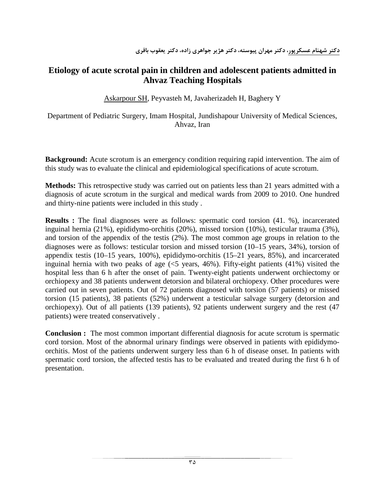### **Etiology of acute scrotal pain in children and adolescent patients admitted in Ahvaz Teaching Hospitals**

[Askarpour SH](http://www.researchgate.net/researcher/60634050_Askarpour_S/), [Peyvasteh M,](http://www.researchgate.net/researcher/66715111_Peyvasteh_M/) [Javaherizadeh H,](http://www.researchgate.net/researcher/58812280_Javaherizadeh_H/) [Baghery Y](http://www.researchgate.net/researcher/60841501_Baghery_Y/)

Department of Pediatric Surgery, Imam Hospital, Jundishapour University of Medical Sciences, Ahvaz, Iran

**Background:** Acute scrotum is an emergency condition requiring rapid intervention. The aim of this study was to evaluate the clinical and epidemiological specifications of acute scrotum.

**Methods:** This retrospective study was carried out on patients less than 21 years admitted with a diagnosis of acute scrotum in the surgical and medical wards from 2009 to 2010. One hundred and thirty-nine patients were included in this study .

**Results :** The final diagnoses were as follows: spermatic cord torsion (41. %), incarcerated inguinal hernia (21%), epididymo-orchitis (20%), missed torsion (10%), testicular trauma (3%), and torsion of the appendix of the testis (2%). The most common age groups in relation to the diagnoses were as follows: testicular torsion and missed torsion (10–15 years, 34%), torsion of appendix testis (10–15 years, 100%), epididymo-orchitis (15–21 years, 85%), and incarcerated inguinal hernia with two peaks of age  $\langle 5 \rangle$  years, 46%). Fifty-eight patients (41%) visited the hospital less than 6 h after the onset of pain. Twenty-eight patients underwent orchiectomy or orchiopexy and 38 patients underwent detorsion and bilateral orchiopexy. Other procedures were carried out in seven patients. Out of 72 patients diagnosed with torsion (57 patients) or missed torsion (15 patients), 38 patients (52%) underwent a testicular salvage surgery (detorsion and orchiopexy). Out of all patients (139 patients), 92 patients underwent surgery and the rest (47 patients) were treated conservatively .

**Conclusion :** The most common important differential diagnosis for acute scrotum is spermatic cord torsion. Most of the abnormal urinary findings were observed in patients with epididymoorchitis. Most of the patients underwent surgery less than 6 h of disease onset. In patients with spermatic cord torsion, the affected testis has to be evaluated and treated during the first 6 h of presentation.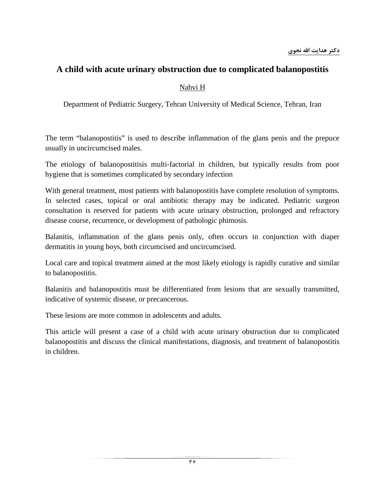### **A child with acute urinary obstruction due to complicated balanopostitis**

### Nahvi H

Department of Pediatric Surgery, Tehran University of Medical Science, Tehran, Iran

The term "balanopostitis" is used to describe inflammation of the glans penis and the prepuce usually in uncircumcised males.

The etiology of balanopostitisis multi-factorial in children, but typically results from poor hygiene that is sometimes complicated by secondary infection

With general treatment, most patients with balanopostitis have complete resolution of symptoms. In selected cases, topical or oral antibiotic therapy may be indicated. Pediatric surgeon consultation is reserved for patients with acute urinary obstruction, prolonged and refractory disease course, recurrence, or development of pathologic phimosis.

Balanitis, inflammation of the glans penis only, often occurs in conjunction with diaper dermatitis in young boys, both circumcised and uncircumcised.

Local care and topical treatment aimed at the most likely etiology is rapidly curative and similar to balanopostitis.

Balanitis and balanopostitis must be differentiated from lesions that are sexually transmitted, indicative of systemic disease, or precancerous.

These lesions are more common in adolescents and adults.

This article will present a case of a child with acute urinary obstruction due to complicated balanopostitis and discuss the clinical manifestations, diagnosis, and treatment of balanopostitis in children.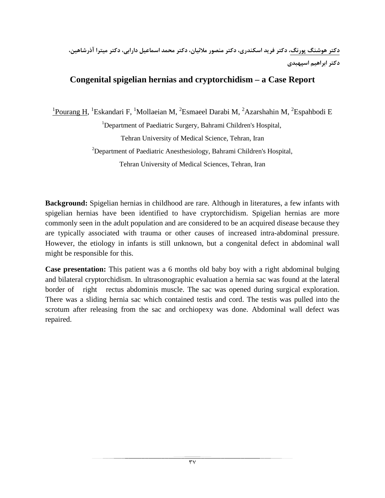**دكتر هوشنگ پورنگ، دكتر فريد اسكندري، دكتر منصور ملائيان، دكتر محمد اسماعيل دارابي، دكتر ميترا آذرشاهين، دكتر ابراهيم اسپهبدي**

### **Congenital spigelian hernias and cryptorchidism – a Case Report**

<sup>1</sup>Pourang H, <sup>1</sup>Eskandari F, <sup>1</sup>Mollaeian M, <sup>2</sup>Esmaeel Darabi M, <sup>2</sup>Azarshahin M, <sup>2</sup>Espahbodi E <sup>1</sup>Department of Paediatric Surgery, Bahrami Children's Hospital, Tehran University of Medical Science, Tehran, Iran <sup>2</sup>Department of Paediatric Anesthesiology, Bahrami Children's Hospital, Tehran University of Medical Sciences, Tehran, Iran

**Background:** Spigelian hernias in childhood are rare. Although in literatures, a few infants with spigelian hernias have been identified to have cryptorchidism. Spigelian hernias are more commonly seen in the adult population and are considered to be an acquired disease because they are typically associated with trauma or other causes of increased intra-abdominal pressure. However, the etiology in infants is still unknown, but a congenital defect in abdominal wall might be responsible for this.

**Case presentation:** This patient was a 6 months old baby boy with a right abdominal bulging and bilateral cryptorchidism. In ultrasonographic evaluation a hernia sac was found at the lateral border of right rectus abdominis muscle. The sac was opened during surgical exploration. There was a sliding hernia sac which contained testis and cord. The testis was pulled into the scrotum after releasing from the sac and orchiopexy was done. Abdominal wall defect was repaired.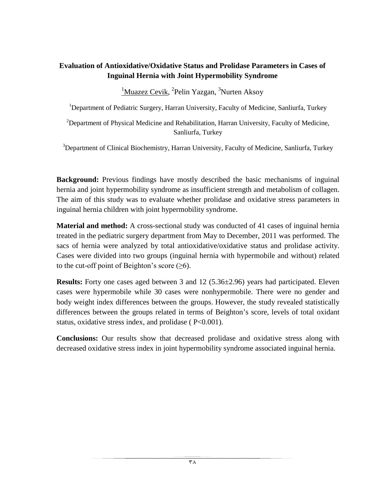### **Evaluation of Antioxidative/Oxidative Status and Prolidase Parameters in Cases of Inguinal Hernia with Joint Hypermobility Syndrome**

 $1$ Muazez Cevik, <sup>2</sup> Pelin Yazgan, <sup>3</sup> Nurten Aksoy

<sup>1</sup>Department of Pediatric Surgery, Harran University, Faculty of Medicine, Sanliurfa, Turkey

 $2$ Department of Physical Medicine and Rehabilitation, Harran University, Faculty of Medicine, Sanliurfa, Turkey

<sup>3</sup>Department of Clinical Biochemistry, Harran University, Faculty of Medicine, Sanliurfa, Turkey

**Background:** Previous findings have mostly described the basic mechanisms of inguinal hernia and joint hypermobility syndrome as insufficient strength and metabolism of collagen. The aim of this study was to evaluate whether prolidase and oxidative stress parameters in inguinal hernia children with joint hypermobility syndrome.

**Material and method:** A cross-sectional study was conducted of 41 cases of inguinal hernia treated in the pediatric surgery department from May to December, 2011 was performed. The sacs of hernia were analyzed by total antioxidative/oxidative status and prolidase activity. Cases were divided into two groups (inguinal hernia with hypermobile and without) related to the cut-off point of Beighton's score  $(\geq 6)$ .

**Results:** Forty one cases aged between 3 and 12 (5.36±2.96) years had participated. Eleven cases were hypermobile while 30 cases were nonhypermobile. There were no gender and body weight index differences between the groups. However, the study revealed statistically differences between the groups related in terms of Beighton's score, levels of total oxidant status, oxidative stress index, and prolidase ( $P<0.001$ ).

**Conclusions:** Our results show that decreased prolidase and oxidative stress along with decreased oxidative stress index in joint hypermobility syndrome associated inguinal hernia.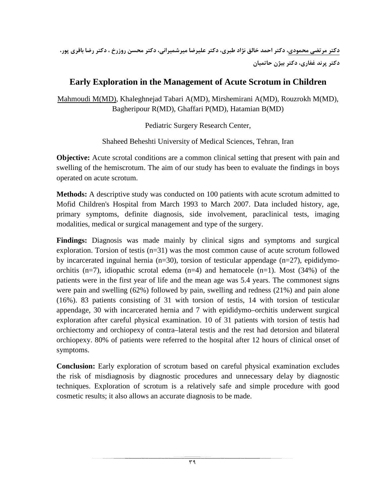**دكتر مرتضي محمودي، دكتر احمد خالق نژاد طبري، دكتر عليرضا ميرشميراني، دكتر محسن روزرخ ، دكتر رضا باقري پور، دكتر پرند غفاري، دكتر بيژن حاتميان**

### **Early Exploration in the Management of Acute Scrotum in Children**

Mahmoudi M(MD), Khaleghnejad Tabari A(MD), Mirshemirani A(MD), Rouzrokh M(MD), Bagheripour R(MD), Ghaffari P(MD), Hatamian B(MD)

Pediatric Surgery Research Center,

Shaheed Beheshti University of Medical Sciences, Tehran, Iran

**Objective:** Acute scrotal conditions are a common clinical setting that present with pain and swelling of the hemiscrotum. The aim of our study has been to evaluate the findings in boys operated on acute scrotum.

**Methods:** A descriptive study was conducted on 100 patients with acute scrotum admitted to Mofid Children's Hospital from March 1993 to March 2007. Data included history, age, primary symptoms, definite diagnosis, side involvement, paraclinical tests, imaging modalities, medical or surgical management and type of the surgery.

**Findings:** Diagnosis was made mainly by clinical signs and symptoms and surgical exploration. Torsion of testis  $(n=31)$  was the most common cause of acute scrotum followed by incarcerated inguinal hernia ( $n=30$ ), torsion of testicular appendage ( $n=27$ ), epididymoorchitis (n=7), idiopathic scrotal edema (n=4) and hematocele (n=1). Most (34%) of the patients were in the first year of life and the mean age was 5.4 years. The commonest signs were pain and swelling (62%) followed by pain, swelling and redness (21%) and pain alone (16%). 83 patients consisting of 31 with torsion of testis, 14 with torsion of testicular appendage, 30 with incarcerated hernia and 7 with epididymo–orchitis underwent surgical exploration after careful physical examination. 10 of 31 patients with torsion of testis had orchiectomy and orchiopexy of contra–lateral testis and the rest had detorsion and bilateral orchiopexy. 80% of patients were referred to the hospital after 12 hours of clinical onset of symptoms.

**Conclusion:** Early exploration of scrotum based on careful physical examination excludes the risk of misdiagnosis by diagnostic procedures and unnecessary delay by diagnostic techniques. Exploration of scrotum is a relatively safe and simple procedure with good cosmetic results; it also allows an accurate diagnosis to be made.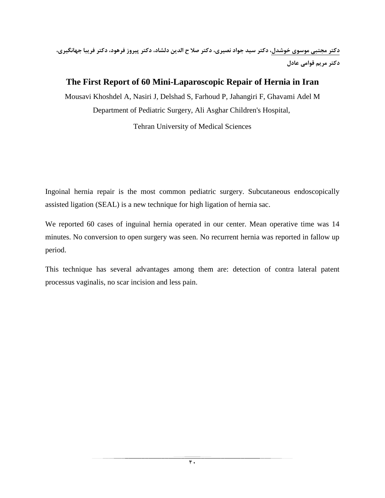**دكتر مجتبي موسوي خوشدل، دكتر سيد جواد نصيري، دكتر صلا ح الدين دلشاد، دكتر پيروز فرهود، دكتر فريبا جهانگيري، دكتر مريم قوامي عادل**

### **The First Report of 60 Mini-Laparoscopic Repair of Hernia in Iran**

Mousavi Khoshdel A, Nasiri J, Delshad S, Farhoud P, Jahangiri F, Ghavami Adel M Department of Pediatric Surgery, Ali Asghar Children's Hospital,

Tehran University of Medical Sciences

Ingoinal hernia repair is the most common pediatric surgery. Subcutaneous endoscopically assisted ligation (SEAL) is a new technique for high ligation of hernia sac.

We reported 60 cases of inguinal hernia operated in our center. Mean operative time was 14 minutes. No conversion to open surgery was seen. No recurrent hernia was reported in fallow up period.

This technique has several advantages among them are: detection of contra lateral patent processus vaginalis, no scar incision and less pain.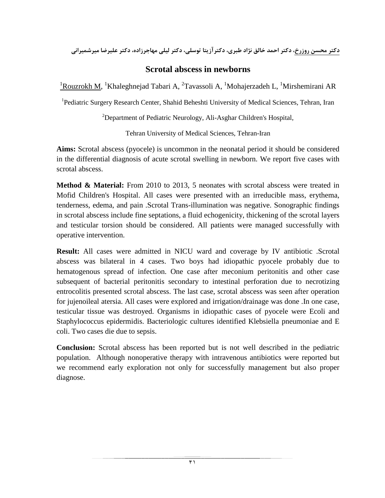**دكتر محسن روزرخ، دكتر احمد خالق نژاد طبري، دكترآزيتا توسلي، دكتر ليلي مهاجرزاده، دكتر عليرضا ميرشميراني**

### **Scrotal abscess in newborns**

<sup>1</sup>Rouzrokh M, <sup>1</sup>Khaleghnejad Tabari A, <sup>2</sup>Tavassoli A, <sup>1</sup>Mohajerzadeh L, <sup>1</sup>Mirshemirani AR

<sup>1</sup>Pediatric Surgery Research Center, Shahid Beheshti University of Medical Sciences, Tehran, Iran

<sup>2</sup>Department of Pediatric Neurology, Ali-Asghar Children's Hospital,

Tehran University of Medical Sciences, Tehran-Iran

**Aims:** Scrotal abscess (pyocele) is uncommon in the neonatal period it should be considered in the differential diagnosis of acute scrotal swelling in newborn. We report five cases with scrotal abscess.

**Method & Material:** From 2010 to 2013, 5 neonates with scrotal abscess were treated in Mofid Children's Hospital. All cases were presented with an irreducible mass, erythema, tenderness, edema, and pain .Scrotal Trans-illumination was negative. Sonographic findings in scrotal abscess include fine septations, a fluid echogenicity, thickening of the scrotal layers and testicular torsion should be considered. All patients were managed successfully with operative intervention.

**Result:** All cases were admitted in NICU ward and coverage by IV antibiotic .Scrotal abscess was bilateral in 4 cases. Two boys had idiopathic pyocele probably due to hematogenous spread of infection. One case after meconium peritonitis and other case subsequent of bacterial peritonitis secondary to intestinal perforation due to necrotizing entrocolitis presented scrotal abscess. The last case, scrotal abscess was seen after operation for jujenoileal atersia. All cases were explored and irrigation/drainage was done .In one case, testicular tissue was destroyed. Organisms in idiopathic cases of pyocele were Ecoli and Staphylococcus epidermidis. Bacteriologic cultures identified Klebsiella pneumoniae and E coli. Two cases die due to sepsis.

**Conclusion:** Scrotal abscess has been reported but is not well described in the pediatric population. Although nonoperative therapy with intravenous antibiotics were reported but we recommend early exploration not only for successfully management but also proper diagnose.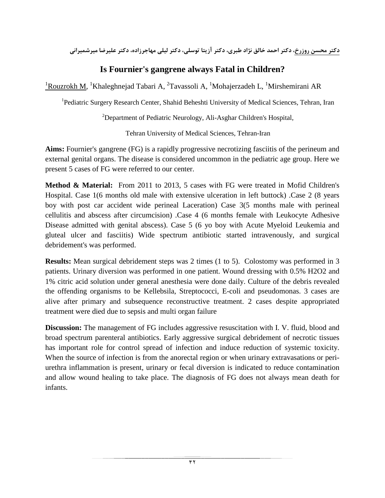**دكتر محسن روزرخ، دكتر احمد خالق نژاد طبري، دكتر آزيتا توسلي، دكتر ليلي مهاجرزاده، دكتر عليرضا ميرشميراني**

### **Is Fournier's gangrene always Fatal in Children?**

<sup>1</sup>Rouzrokh M, <sup>1</sup>Khaleghnejad Tabari A, <sup>2</sup>Tavassoli A, <sup>1</sup>Mohajerzadeh L, <sup>1</sup>Mirshemirani AR

<sup>1</sup>Pediatric Surgery Research Center, Shahid Beheshti University of Medical Sciences, Tehran, Iran

<sup>2</sup>Department of Pediatric Neurology, Ali-Asghar Children's Hospital,

Tehran University of Medical Sciences, Tehran-Iran

**Aims:** Fournier's gangrene (FG) is a rapidly progressive necrotizing fasciitis of the perineum and external genital organs. The disease is considered uncommon in the pediatric age group. Here we present 5 cases of FG were referred to our center.

**Method & Material:** From 2011 to 2013, 5 cases with FG were treated in Mofid Children's Hospital. Case 1(6 months old male with extensive ulceration in left buttock) .Case 2 (8 years boy with post car accident wide perineal Laceration) Case 3(5 months male with perineal cellulitis and abscess after circumcision) .Case 4 (6 months female with Leukocyte Adhesive Disease admitted with genital abscess). Case 5 (6 yo boy with Acute Myeloid Leukemia and gluteal ulcer and fasciitis) Wide spectrum antibiotic started intravenously, and surgical debridement's was performed.

**Results:** Mean surgical debridement steps was 2 times (1 to 5). Colostomy was performed in 3 patients. Urinary diversion was performed in one patient. Wound dressing with 0.5% H2O2 and 1% citric acid solution under general anesthesia were done daily. Culture of the debris revealed the offending organisms to be Kellebsila, Streptococci, E-coli and pseudomonas. 3 cases are alive after primary and subsequence reconstructive treatment. 2 cases despite appropriated treatment were died due to sepsis and multi organ failure

**Discussion:** The management of FG includes aggressive resuscitation with I. V. fluid, blood and broad spectrum parenteral antibiotics. Early aggressive surgical debridement of necrotic tissues has important role for control spread of infection and induce reduction of systemic toxicity. When the source of infection is from the anorectal region or when urinary extravasations or periurethra inflammation is present, urinary or fecal diversion is indicated to reduce contamination and allow wound healing to take place. The diagnosis of FG does not always mean death for infants.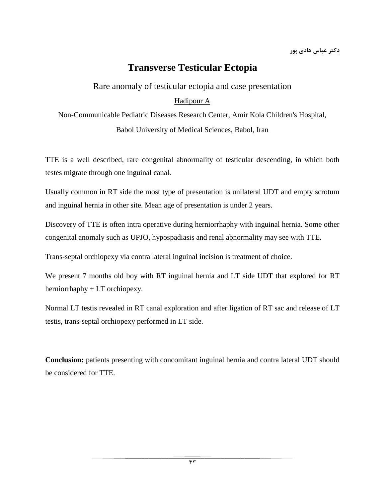# **Transverse Testicular Ectopia**

Rare anomaly of testicular ectopia and case presentation

### Hadipour A

Non-Communicable Pediatric Diseases Research Center, Amir Kola Children's Hospital, Babol University of Medical Sciences, Babol, Iran

TTE is a well described, rare congenital abnormality of testicular descending, in which both testes migrate through one inguinal canal.

Usually common in RT side the most type of presentation is unilateral UDT and empty scrotum and inguinal hernia in other site. Mean age of presentation is under 2 years.

Discovery of TTE is often intra operative during herniorrhaphy with inguinal hernia. Some other congenital anomaly such as UPJO, hypospadiasis and renal abnormality may see with TTE.

Trans-septal orchiopexy via contra lateral inguinal incision is treatment of choice.

We present 7 months old boy with RT inguinal hernia and LT side UDT that explored for RT herniorrhaphy + LT orchiopexy.

Normal LT testis revealed in RT canal exploration and after ligation of RT sac and release of LT testis, trans-septal orchiopexy performed in LT side.

**Conclusion:** patients presenting with concomitant inguinal hernia and contra lateral UDT should be considered for TTE.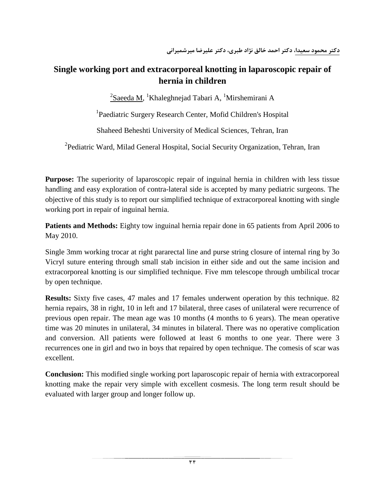# **Single working port and extracorporeal knotting in laparoscopic repair of hernia in children**

 $^2$ Saeeda M,  $^1$ Khaleghnejad Tabari A,  $^1$ Mirshemirani A

<sup>1</sup>Paediatric Surgery Research Center, Mofid Children's Hospital

Shaheed Beheshti University of Medical Sciences, Tehran, Iran

<sup>2</sup> Pediatric Ward, Milad General Hospital, Social Security Organization, Tehran, Iran

**Purpose:** The superiority of laparoscopic repair of inguinal hernia in children with less tissue handling and easy exploration of contra-lateral side is accepted by many pediatric surgeons. The objective of this study is to report our simplified technique of extracorporeal knotting with single working port in repair of inguinal hernia.

**Patients and Methods:** Eighty tow inguinal hernia repair done in 65 patients from April 2006 to May 2010.

Single 3mm working trocar at right pararectal line and purse string closure of internal ring by 3o Vicryl suture entering through small stab incision in either side and out the same incision and extracorporeal knotting is our simplified technique. Five mm telescope through umbilical trocar by open technique.

**Results:** Sixty five cases, 47 males and 17 females underwent operation by this technique. 82 hernia repairs, 38 in right, 10 in left and 17 bilateral, three cases of unilateral were recurrence of previous open repair. The mean age was 10 months (4 months to 6 years). The mean operative time was 20 minutes in unilateral, 34 minutes in bilateral. There was no operative complication and conversion. All patients were followed at least 6 months to one year. There were 3 recurrences one in girl and two in boys that repaired by open technique. The comesis of scar was excellent.

**Conclusion:** This modified single working port laparoscopic repair of hernia with extracorporeal knotting make the repair very simple with excellent cosmesis. The long term result should be evaluated with larger group and longer follow up.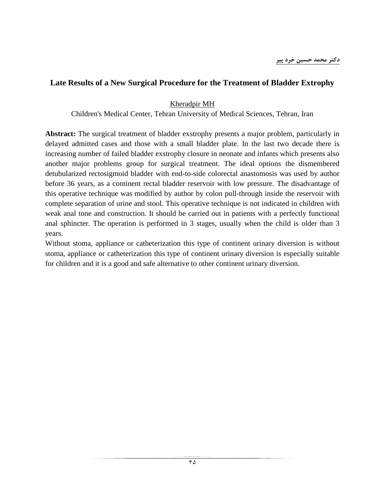### **Late Results of a New Surgical Procedure for the Treatment of Bladder Extrophy**

#### Kheradpir MH

Children's Medical Center, Tehran University of Medical Sciences, Tehran, Iran

**Abstract:** The surgical treatment of bladder exstrophy presents a major problem, particularly in delayed admitted cases and those with a small bladder plate. In the last two decade there is increasing number of failed bladder exstrophy closure in neonate and infants which presents also another major problems group for surgical treatment. The ideal options the dismembered detubularized rectosigmoid bladder with end-to-side colorectal anastomosis was used by author before 36 years, as a continent rectal bladder reservoir with low pressure. The disadvantage of this operative technique was modified by author by colon pull-through inside the reservoir with complete separation of urine and stool. This operative technique is not indicated in children with weak anal tone and construction. It should be carried out in patients with a perfectly functional anal sphincter. The operation is performed in 3 stages, usually when the child is older than 3 years.

Without stoma, appliance or catheterization this type of continent urinary diversion is without stoma, appliance or catheterization this type of continent urinary diversion is especially suitable for children and it is a good and safe alternative to other continent urinary diversion.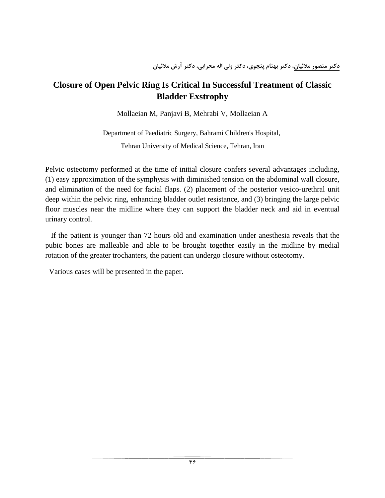### **Closure of Open Pelvic Ring Is Critical In Successful Treatment of Classic Bladder Exstrophy**

Mollaeian M, Panjavi B, Mehrabi V, Mollaeian A

Department of Paediatric Surgery, Bahrami Children's Hospital, Tehran University of Medical Science, Tehran, Iran

Pelvic osteotomy performed at the time of initial closure confers several advantages including, (1) easy approximation of the symphysis with diminished tension on the abdominal wall closure, and elimination of the need for facial flaps. (2) placement of the posterior vesico-urethral unit deep within the pelvic ring, enhancing bladder outlet resistance, and (3) bringing the large pelvic floor muscles near the midline where they can support the bladder neck and aid in eventual urinary control.

 If the patient is younger than 72 hours old and examination under anesthesia reveals that the pubic bones are malleable and able to be brought together easily in the midline by medial rotation of the greater trochanters, the patient can undergo closure without osteotomy.

Various cases will be presented in the paper.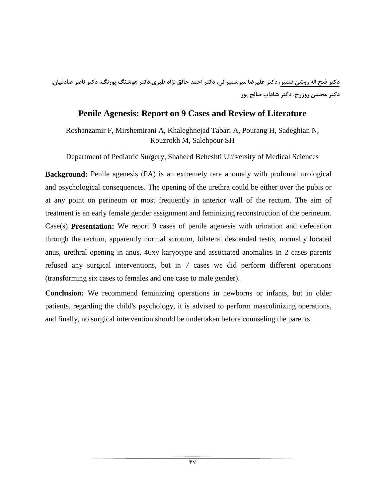**دكتر فتح اله روشن ضمير، دكتر عليرضا ميرشميراني، دكتر احمد خالق نژاد طبري،دكتر هوشنگ پورنگ، دكتر ناصر صادقيان، دكتر محسن روزرخ، دكتر شاداب صالح پور**

### **Penile Agenesis: Report on 9 Cases and Review of Literature**

Roshanzamir F, Mirshemirani A, Khaleghnejad Tabari A, Pourang H, Sadeghian N, Rouzrokh M, Salehpour SH

Department of Pediatric Surgery, Shaheed Beheshti University of Medical Sciences

**Background:** Penile agenesis (PA) is an extremely rare anomaly with profound urological and psychological consequences. The opening of the urethra could be either over the pubis or at any point on perineum or most frequently in anterior wall of the rectum. The aim of treatment is an early female gender assignment and feminizing reconstruction of the perineum. Case(s) **Presentation:** We report 9 cases of penile agenesis with urination and defecation through the rectum, apparently normal scrotum, bilateral descended testis, normally located anus, urethral opening in anus, 46xy karyotype and associated anomalies In 2 cases parents refused any surgical interventions, but in 7 cases we did perform different operations (transforming six cases to females and one case to male gender).

**Conclusion:** We recommend feminizing operations in newborns or infants, but in older patients, regarding the child's psychology, it is advised to perform masculinizing operations, and finally, no surgical intervention should be undertaken before counseling the parents.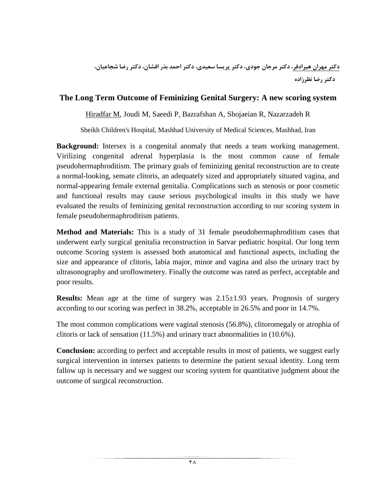### **The Long Term Outcome of Feminizing Genital Surgery: A new scoring system**

Hiradfar M, Joudi M, Saeedi P, Bazrafshan A, Shojaeian R, Nazarzadeh R

Sheikh Children's Hospital, Mashhad University of Medical Sciences, Mashhad, Iran

**Background:** Intersex is a congenital anomaly that needs a team working management. Virilizing congenital adrenal hyperplasia is the most common cause of female pseudohermaphroditism. The primary goals of feminizing genital reconstruction are to create a normal-looking, sensate clitoris, an adequately sized and appropriately situated vagina, and normal-appearing female external genitalia. Complications such as stenosis or poor cosmetic and functional results may cause serious psychological insults in this study we have evaluated the results of feminizing genital reconstruction according to our scoring system in female pseudohermaphroditism patients.

**Method and Materials:** This is a study of 31 female pseudohermaphroditism cases that underwent early surgical genitalia reconstruction in Sarvar pediatric hospital. Our long term outcome Scoring system is assessed both anatomical and functional aspects, including the size and appearance of clitoris, labia major, minor and vagina and also the urinary tract by ultrasonography and uroflowmetery. Finally the outcome was rated as perfect, acceptable and poor results.

**Results:** Mean age at the time of surgery was 2.15±1.93 years. Prognosis of surgery according to our scoring was perfect in 38.2%, acceptable in 26.5% and poor in 14.7%.

The most common complications were vaginal stenosis (56.8%), clitoromegaly or atrophia of clitoris or lack of sensation (11.5%) and urinary tract abnormalities in (10.6%).

**Conclusion:** according to perfect and acceptable results in most of patients, we suggest early surgical intervention in intersex patients to determine the patient sexual identity. Long term fallow up is necessary and we suggest our scoring system for quantitative judgment about the outcome of surgical reconstruction.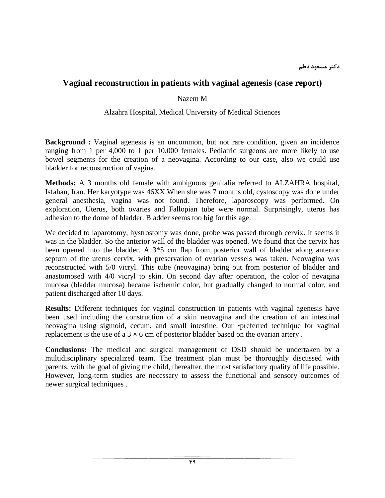### **Vaginal reconstruction in patients with vaginal agenesis (case report)**

### Nazem M

### Alzahra Hospital, Medical University of Medical Sciences

**Background** : Vaginal agenesis is an uncommon, but not rare condition, given an incidence ranging from 1 per 4,000 to 1 per 10,000 females. Pediatric surgeons are more likely to use bowel segments for the creation of a neovagina. According to our case, also we could use bladder for reconstruction of vagina.

**Methods:** A 3 months old female with ambiguous genitalia referred to ALZAHRA hospital, Isfahan, Iran. Her karyotype was 46XX.When she was 7 months old, cystoscopy was done under general anesthesia, vagina was not found. Therefore, laparoscopy was performed. On exploration, Uterus, both ovaries and Fallopian tube were normal. Surprisingly, uterus has adhesion to the dome of bladder. Bladder seems too big for this age.

We decided to laparotomy, hystrostomy was done, probe was passed through cervix. It seems it was in the bladder. So the anterior wall of the bladder was opened. We found that the cervix has been opened into the bladder. A 3\*5 cm flap from posterior wall of bladder along anterior septum of the uterus cervix, with preservation of ovarian vessels was taken. Neovagina was reconstructed with 5/0 vicryl. This tube (neovagina) bring out from posterior of bladder and anastomosed with 4/0 vicryl to skin. On second day after operation, the color of nevagina mucosa (bladder mucosa) became ischemic color, but gradually changed to normal color, and patient discharged after 10 days.

**Results:** Different techniques for vaginal construction in patients with vaginal agenesis have been used including the construction of a skin neovagina and the creation of an intestinal neovagina using sigmoid, cecum, and small intestine. Our •preferred technique for vaginal replacement is the use of a  $3 \times 6$  cm of posterior bladder based on the ovarian artery.

**Conclusions:** The medical and surgical management of DSD should be undertaken by a multidisciplinary specialized team. The treatment plan must be thoroughly discussed with parents, with the goal of giving the child, thereafter, the most satisfactory quality of life possible. However, long-term studies are necessary to assess the functional and sensory outcomes of newer surgical techniques .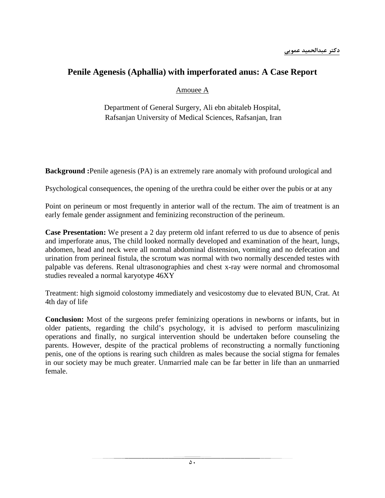### **Penile Agenesis (Aphallia) with imperforated anus: A Case Report**

### Amouee A

Department of General Surgery, Ali ebn abitaleb Hospital, Rafsanjan University of Medical Sciences, Rafsanjan, Iran

**Background :**Penile agenesis (PA) is an extremely rare anomaly with profound urological and

Psychological consequences, the opening of the urethra could be either over the pubis or at any

Point on perineum or most frequently in anterior wall of the rectum. The aim of treatment is an early female gender assignment and feminizing reconstruction of the perineum.

**Case Presentation:** We present a 2 day preterm old infant referred to us due to absence of penis and imperforate anus, The child looked normally developed and examination of the heart, lungs, abdomen, head and neck were all normal abdominal distension, vomiting and no defecation and urination from perineal fistula, the scrotum was normal with two normally descended testes with palpable vas deferens. Renal ultrasonographies and chest x-ray were normal and chromosomal studies revealed a normal karyotype 46XY

Treatment: high sigmoid colostomy immediately and vesicostomy due to elevated BUN, Crat. At 4th day of life

**Conclusion:** Most of the surgeons prefer feminizing operations in newborns or infants, but in older patients, regarding the child's psychology, it is advised to perform masculinizing operations and finally, no surgical intervention should be undertaken before counseling the parents. However, despite of the practical problems of reconstructing a normally functioning penis, one of the options is rearing such children as males because the social stigma for females in our society may be much greater. Unmarried male can be far better in life than an unmarried female.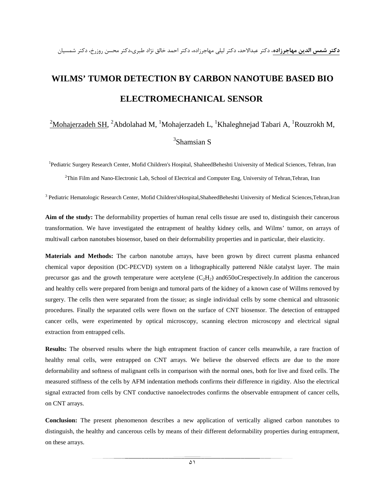# **WILMS' TUMOR DETECTION BY CARBON NANOTUBE BASED BIO ELECTROMECHANICAL SENSOR**

### $^2$ Mohajerzadeh SH,  $^2$ Abdolahad M,  $^1$ Mohajerzadeh L,  $^1$ Khaleghnejad Tabari A,  $^1$ Rouzrokh M,

### 3 Shamsian S

<sup>1</sup>Pediatric Surgery Research Center, Mofid Children's Hospital, ShaheedBeheshti University of Medical Sciences, Tehran, Iran

2 Thin Film and Nano-Electronic Lab, School of Electrical and Computer Eng, University of Tehran,Tehran, Iran

<sup>3</sup> Pediatric Hematologic Research Center, Mofid Children'sHospital,ShaheedBeheshti University of Medical Sciences,Tehran,Iran

**Aim of the study:** The deformability properties of human renal cells tissue are used to, distinguish their cancerous transformation. We have investigated the entrapment of healthy kidney cells, and Wilms' tumor, on arrays of multiwall carbon nanotubes biosensor, based on their deformability properties and in particular, their elasticity.

**Materials and Methods:** The carbon nanotube arrays, have been grown by direct current plasma enhanced chemical vapor deposition (DC-PECVD) system on a lithographically patterend Nikle catalyst layer. The main precursor gas and the growth temperature were acetylene  $(C_2H_2)$  and  $650$  oCrespectively. In addition the cancerous and healthy cells were prepared from benign and tumoral parts of the kidney of a known case of Willms removed by surgery. The cells then were separated from the tissue; as single individual cells by some chemical and ultrasonic procedures. Finally the separated cells were flown on the surface of CNT biosensor. The detection of entrapped cancer cells, were experimented by optical microscopy, scanning electron microscopy and electrical signal extraction from entrapped cells.

**Results:** The observed results where the high entrapment fraction of cancer cells meanwhile, a rare fraction of healthy renal cells, were entrapped on CNT arrays. We believe the observed effects are due to the more deformability and softness of malignant cells in comparison with the normal ones, both for live and fixed cells. The measured stiffness of the cells by AFM indentation methods confirms their difference in rigidity. Also the electrical signal extracted from cells by CNT conductive nanoelectrodes confirms the observable entrapment of cancer cells, on CNT arrays.

**Conclusion:** The present phenomenon describes a new application of vertically aligned carbon nanotubes to distinguish, the healthy and cancerous cells by means of their different deformability properties during entrapment, on these arrays.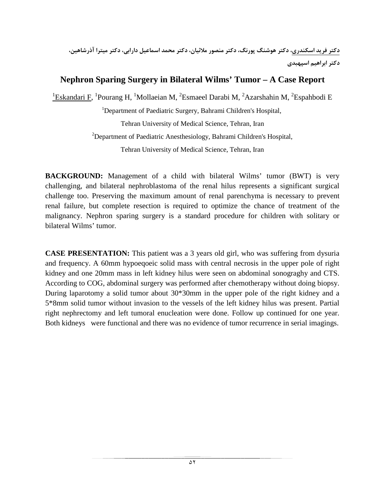# **Nephron Sparing Surgery in Bilateral Wilms' Tumor – A Case Report**

 $^{1}$ Eskandari F, <sup>1</sup>Pourang H, <sup>1</sup>Mollaeian M, <sup>2</sup>Esmaeel Darabi M, <sup>2</sup>Azarshahin M, <sup>2</sup>Espahbodi E

<sup>1</sup>Department of Paediatric Surgery, Bahrami Children's Hospital,

Tehran University of Medical Science, Tehran, Iran

<sup>2</sup>Department of Paediatric Anesthesiology, Bahrami Children's Hospital,

Tehran University of Medical Science, Tehran, Iran

**BACKGROUND:** Management of a child with bilateral Wilms' tumor (BWT) is very challenging, and bilateral nephroblastoma of the renal hilus represents a significant surgical challenge too. Preserving the maximum amount of renal parenchyma is necessary to prevent renal failure, but complete resection is required to optimize the chance of treatment of the malignancy. Nephron sparing surgery is a standard procedure for children with solitary or bilateral Wilms' tumor.

**CASE PRESENTATION:** This patient was a 3 years old girl, who was suffering from dysuria and frequency. A 60mm hypoeqoeic solid mass with central necrosis in the upper pole of right kidney and one 20mm mass in left kidney hilus were seen on abdominal sonograghy and CTS. According to COG, abdominal surgery was performed after chemotherapy without doing biopsy. During laparotomy a solid tumor about 30\*30mm in the upper pole of the right kidney and a 5\*8mm solid tumor without invasion to the vessels of the left kidney hilus was present. Partial right nephrectomy and left tumoral enucleation were done. Follow up continued for one year. Both kidneys were functional and there was no evidence of tumor recurrence in serial imagings.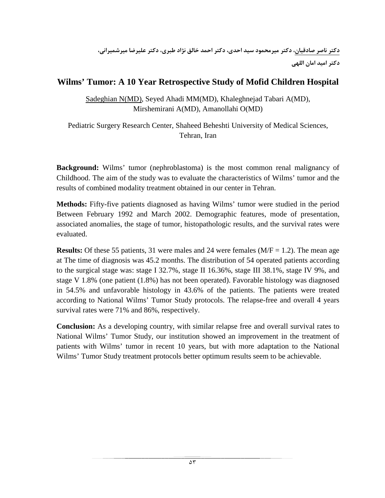**دكتر ناصر صادقيان، دكتر ميرمحمود سيد احدي، دكتر احمد خالق نژاد طبري، دكتر عليرضا ميرشميراني، دكتر اميد امان اللهي**

### **Wilms' Tumor: A 10 Year Retrospective Study of Mofid Children Hospital**

Sadeghian N(MD), Seyed Ahadi MM(MD), Khaleghnejad Tabari A(MD), Mirshemirani A(MD), Amanollahi O(MD)

Pediatric Surgery Research Center, Shaheed Beheshti University of Medical Sciences, Tehran, Iran

**Background:** Wilms' tumor (nephroblastoma) is the most common renal malignancy of Childhood. The aim of the study was to evaluate the characteristics of Wilms' tumor and the results of combined modality treatment obtained in our center in Tehran.

**Methods:** Fifty-five patients diagnosed as having Wilms' tumor were studied in the period Between February 1992 and March 2002. Demographic features, mode of presentation, associated anomalies, the stage of tumor, histopathologic results, and the survival rates were evaluated.

**Results:** Of these 55 patients, 31 were males and 24 were females ( $M/F = 1.2$ ). The mean age at The time of diagnosis was 45.2 months. The distribution of 54 operated patients according to the surgical stage was: stage I 32.7%, stage II 16.36%, stage III 38.1%, stage IV 9%, and stage V 1.8% (one patient (1.8%) has not been operated). Favorable histology was diagnosed in 54.5% and unfavorable histology in 43.6% of the patients. The patients were treated according to National Wilms' Tumor Study protocols. The relapse-free and overall 4 years survival rates were 71% and 86%, respectively.

**Conclusion:** As a developing country, with similar relapse free and overall survival rates to National Wilms' Tumor Study, our institution showed an improvement in the treatment of patients with Wilms' tumor in recent 10 years, but with more adaptation to the National Wilms' Tumor Study treatment protocols better optimum results seem to be achievable.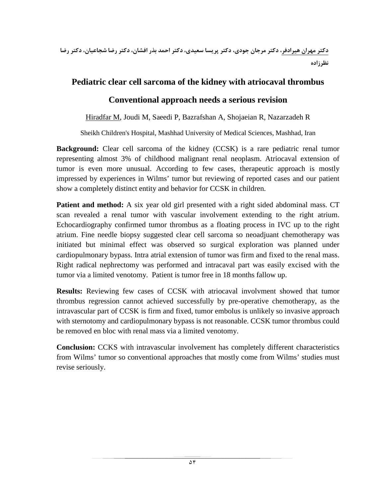**دكتر مهران هيرادفر، دكتر مرجان جودي، دكتر پريسا سعيدي، دكتر احمد بذر افشان، دكتر رضا شجاعيان، دكتر رضا نظرزاده**

### **Pediatric clear cell sarcoma of the kidney with atriocaval thrombus**

## **Conventional approach needs a serious revision**

Hiradfar M, Joudi M, Saeedi P, Bazrafshan A, Shojaeian R, Nazarzadeh R

Sheikh Children's Hospital, Mashhad University of Medical Sciences, Mashhad, Iran

**Background:** Clear cell sarcoma of the kidney (CCSK) is a rare pediatric renal tumor representing almost 3% of childhood malignant renal neoplasm. Atriocaval extension of tumor is even more unusual. According to few cases, therapeutic approach is mostly impressed by experiences in Wilms' tumor but reviewing of reported cases and our patient show a completely distinct entity and behavior for CCSK in children.

**Patient and method:** A six year old girl presented with a right sided abdominal mass. CT scan revealed a renal tumor with vascular involvement extending to the right atrium. Echocardiography confirmed tumor thrombus as a floating process in IVC up to the right atrium. Fine needle biopsy suggested clear cell sarcoma so neoadjuant chemotherapy was initiated but minimal effect was observed so surgical exploration was planned under cardiopulmonary bypass. Intra atrial extension of tumor was firm and fixed to the renal mass. Right radical nephrectomy was performed and intracaval part was easily excised with the tumor via a limited venotomy. Patient is tumor free in 18 months fallow up.

**Results:** Reviewing few cases of CCSK with atriocaval involvment showed that tumor thrombus regression cannot achieved successfully by pre-operative chemotherapy, as the intravascular part of CCSK is firm and fixed, tumor embolus is unlikely so invasive approach with sternotomy and cardiopulmonary bypass is not reasonable. CCSK tumor thrombus could be removed en bloc with renal mass via a limited venotomy.

**Conclusion:** CCKS with intravascular involvement has completely different characteristics from Wilms' tumor so conventional approaches that mostly come from Wilms' studies must revise seriously.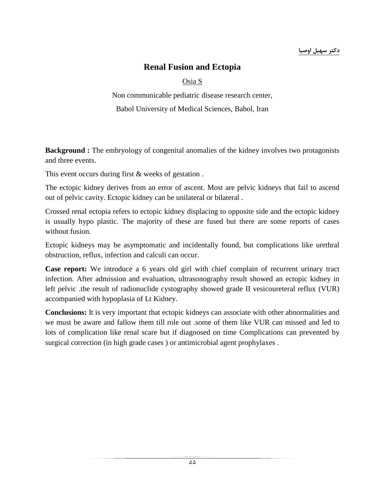### **دكتر سهيل اوصيا**

### **Renal Fusion and Ectopia**

### Osia S

Non communicable pediatric disease research center, Babol University of Medical Sciences, Babol, Iran

**Background :** The embryology of congenital anomalies of the kidney involves two protagonists and three events.

This event occurs during first & weeks of gestation .

The ectopic kidney derives from an error of ascent. Most are pelvic kidneys that fail to ascend out of pelvic cavity. Ectopic kidney can be unilateral or bilateral .

Crossed renal ectopia refers to ectopic kidney displacing to opposite side and the ectopic kidney is usually hypo plastic. The majority of these are fused but there are some reports of cases without fusion.

Ectopic kidneys may be asymptomatic and incidentally found, but complications like urethral obstruction, reflux, infection and calculi can occur.

**Case report:** We introduce a 6 years old girl with chief complain of recurrent urinary tract infection. After admission and evaluation, ultrasonography result showed an ectopic kidney in left pelvic .the result of radionuclide cystography showed grade II vesicoureteral reflux (VUR) accompanied with hypoplasia of Lt Kidney.

**Conclusions:** It is very important that ectopic kidneys can associate with other abnormalities and we must be aware and fallow them till role out .some of them like VUR can missed and led to lots of complication like renal scare but if diagnosed on time Complications can prevented by surgical correction (in high grade cases ) or antimicrobial agent prophylaxes .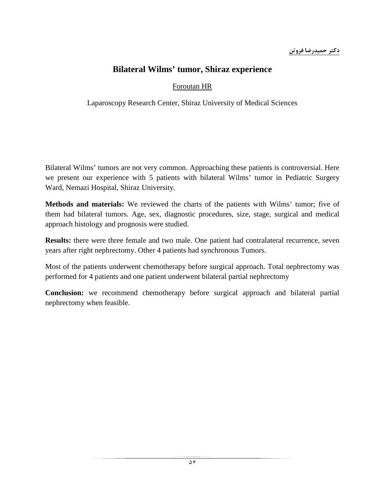### **Bilateral Wilms' tumor, Shiraz experience**

### Foroutan HR

Laparoscopy Research Center, Shiraz University of Medical Sciences

Bilateral Wilms' tumors are not very common. Approaching these patients is controversial. Here we present our experience with 5 patients with bilateral Wilms' tumor in Pediatric Surgery Ward, Nemazi Hospital, Shiraz University.

**Methods and materials:** We reviewed the charts of the patients with Wilms' tumor; five of them had bilateral tumors. Age, sex, diagnostic procedures, size, stage, surgical and medical approach histology and prognosis were studied.

**Results:** there were three female and two male. One patient had contralateral recurrence, seven years after right nephrectomy. Other 4 patients had synchronous Tumors.

Most of the patients underwent chemotherapy before surgical approach. Total nephrectomy was performed for 4 patients and one patient underwent bilateral partial nephrectomy

**Conclusion:** we recommend chemotherapy before surgical approach and bilateral partial nephrectomy when feasible.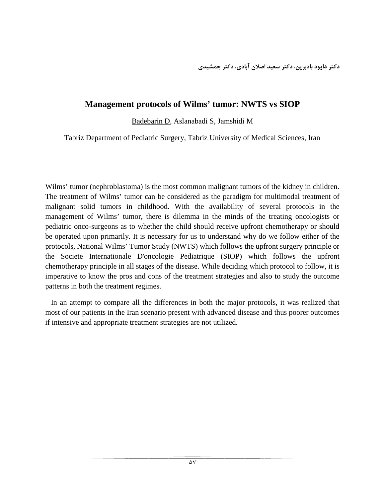### **Management protocols of Wilms' tumor: NWTS vs SIOP**

Badebarin D, Aslanabadi S, Jamshidi M

Tabriz Department of Pediatric Surgery, Tabriz University of Medical Sciences, Iran

Wilms' tumor (nephroblastoma) is the most common malignant tumors of the kidney in children. The treatment of Wilms' tumor can be considered as the paradigm for multimodal treatment of malignant solid tumors in childhood. With the availability of several protocols in the management of Wilms' tumor, there is dilemma in the minds of the treating oncologists or pediatric onco-surgeons as to whether the child should receive upfront chemotherapy or should be operated upon primarily. It is necessary for us to understand why do we follow either of the protocols, National Wilms' Tumor Study (NWTS) which follows the upfront surgery principle or the Societe Internationale D'oncologie Pediatrique (SIOP) which follows the upfront chemotherapy principle in all stages of the disease. While deciding which protocol to follow, it is imperative to know the pros and cons of the treatment strategies and also to study the outcome patterns in both the treatment regimes.

 In an attempt to compare all the differences in both the major protocols, it was realized that most of our patients in the Iran scenario present with advanced disease and thus poorer outcomes if intensive and appropriate treatment strategies are not utilized.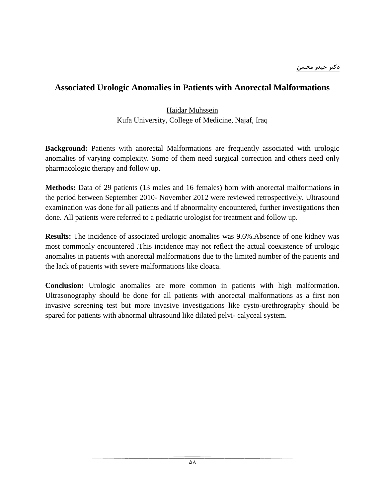### **Associated Urologic Anomalies in Patients with Anorectal Malformations**

### Haidar Muhssein Kufa University, College of Medicine, Najaf, Iraq

**Background:** Patients with anorectal Malformations are frequently associated with urologic anomalies of varying complexity. Some of them need surgical correction and others need only pharmacologic therapy and follow up.

**Methods:** Data of 29 patients (13 males and 16 females) born with anorectal malformations in the period between September 2010- November 2012 were reviewed retrospectively. Ultrasound examination was done for all patients and if abnormality encountered, further investigations then done. All patients were referred to a pediatric urologist for treatment and follow up.

**Results:** The incidence of associated urologic anomalies was 9.6%.Absence of one kidney was most commonly encountered .This incidence may not reflect the actual coexistence of urologic anomalies in patients with anorectal malformations due to the limited number of the patients and the lack of patients with severe malformations like cloaca.

**Conclusion:** Urologic anomalies are more common in patients with high malformation. Ultrasonography should be done for all patients with anorectal malformations as a first non invasive screening test but more invasive investigations like cysto-urethrography should be spared for patients with abnormal ultrasound like dilated pelvi- calyceal system.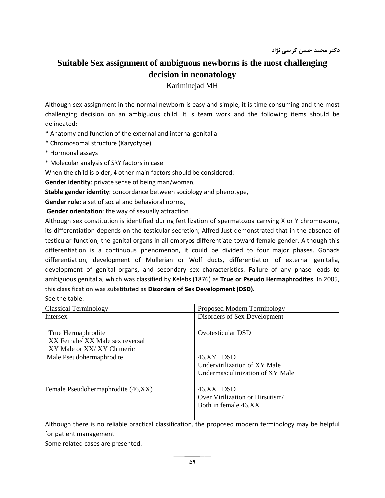# **Suitable Sex assignment of ambiguous newborns is the most challenging decision in neonatology**

Kariminejad MH

Although sex assignment in the normal newborn is easy and simple, it is time consuming and the most challenging decision on an ambiguous child. It is team work and the following items should be delineated:

\* Anatomy and function of the external and internal genitalia

\* Chromosomal structure (Karyotype)

- \* Hormonal assays
- \* Molecular analysis of SRY factors in case

When the child is older, 4 other main factors should be considered:

**Gender identity**: private sense of being man/woman,

**Stable gender identity**: concordance between sociology and phenotype,

**Gender role**: a set of social and behavioral norms,

**Gender orientation**: the way of sexually attraction

Although sex constitution is identified during fertilization of spermatozoa carrying X or Y chromosome, its differentiation depends on the testicular secretion; Alfred Just demonstrated that in the absence of testicular function, the genital organs in all embryos differentiate toward female gender. Although this differentiation is a continuous phenomenon, it could be divided to four major phases. Gonads differentiation, development of Mullerian or Wolf ducts, differentiation of external genitalia, development of genital organs, and secondary sex characteristics. Failure of any phase leads to ambiguous genitalia, which was classified by Kelebs (1876) as **True or Pseudo Hermaphrodites**. In 2005, this classification was substituted as **Disorders of Sex Development (DSD).**

See the table:

| <b>Classical Terminology</b>       | Proposed Modern Terminology     |
|------------------------------------|---------------------------------|
| Intersex                           | Disorders of Sex Development    |
|                                    |                                 |
| True Hermaphrodite                 | <b>Ovotesticular DSD</b>        |
| XX Female/ XX Male sex reversal    |                                 |
| XY Male or XX/XY Chimeric          |                                 |
| Male Pseudohermaphrodite           | 46,XY DSD                       |
|                                    | Undervirilization of XY Male    |
|                                    | Undermasculinization of XY Male |
|                                    |                                 |
| Female Pseudohermaphrodite (46,XX) | 46,XX DSD                       |
|                                    | Over Virilization or Hirsutism  |
|                                    | Both in female 46, XX           |
|                                    |                                 |
|                                    |                                 |

Although there is no reliable practical classification, the proposed modern terminology may be helpful for patient management.

Some related cases are presented.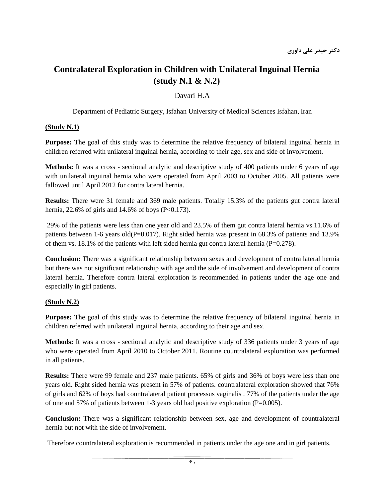# **Contralateral Exploration in Children with Unilateral Inguinal Hernia (study N.1 & N.2)**

### Davari H.A

Department of Pediatric Surgery, Isfahan University of Medical Sciences Isfahan, Iran

#### **(Study N.1)**

**Purpose:** The goal of this study was to determine the relative frequency of bilateral inguinal hernia in children referred with unilateral inguinal hernia, according to their age, sex and side of involvement.

**Methods:** It was a cross - sectional analytic and descriptive study of 400 patients under 6 years of age with unilateral inguinal hernia who were operated from April 2003 to October 2005. All patients were fallowed until April 2012 for contra lateral hernia.

**Results:** There were 31 female and 369 male patients. Totally 15.3% of the patients gut contra lateral hernia, 22.6% of girls and  $14.6%$  of boys (P<0.173).

29% of the patients were less than one year old and 23.5% of them gut contra lateral hernia vs.11.6% of patients between 1-6 years old(P=0.017). Right sided hernia was present in 68.3% of patients and 13.9% of them vs.  $18.1\%$  of the patients with left sided hernia gut contra lateral hernia (P=0.278).

**Conclusion:** There was a significant relationship between sexes and development of contra lateral hernia but there was not significant relationship with age and the side of involvement and development of contra lateral hernia. Therefore contra lateral exploration is recommended in patients under the age one and especially in girl patients.

#### **(Study N.2)**

**Purpose:** The goal of this study was to determine the relative frequency of bilateral inguinal hernia in children referred with unilateral inguinal hernia, according to their age and sex.

**Methods:** It was a cross - sectional analytic and descriptive study of 336 patients under 3 years of age who were operated from April 2010 to October 2011. Routine countralateral exploration was performed in all patients.

**Results:** There were 99 female and 237 male patients. 65% of girls and 36% of boys were less than one years old. Right sided hernia was present in 57% of patients. countralateral exploration showed that 76% of girls and 62% of boys had countralateral patient processus vaginalis . 77% of the patients under the age of one and 57% of patients between 1-3 years old had positive exploration (P=0.005).

**Conclusion:** There was a significant relationship between sex, age and development of countralateral hernia but not with the side of involvement.

Therefore countralateral exploration is recommended in patients under the age one and in girl patients.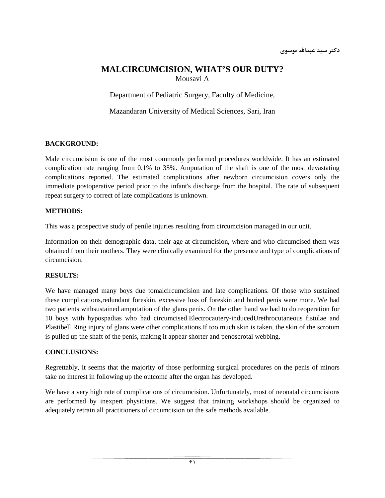### **MALCIRCUMCISION, WHAT'S OUR DUTY?** Mousavi A

Department of Pediatric Surgery, Faculty of Medicine,

Mazandaran University of Medical Sciences, Sari, Iran

#### **BACKGROUND:**

Male circumcision is one of the most commonly performed procedures worldwide. It has an estimated complication rate ranging from 0.1% to 35%. Amputation of the shaft is one of the most devastating complications reported. The estimated complications after newborn circumcision covers only the immediate postoperative period prior to the infant's discharge from the hospital. The rate of subsequent repeat surgery to correct of late complications is unknown.

#### **METHODS:**

This was a prospective study of penile injuries resulting from circumcision managed in our unit.

Information on their demographic data, their age at circumcision, where and who circumcised them was obtained from their mothers. They were clinically examined for the presence and type of complications of circumcision.

#### **RESULTS:**

We have managed many boys due tomalcircumcision and late complications. Of those who sustained these complications,redundant foreskin, excessive loss of foreskin and buried penis were more. We had two patients withsustained amputation of the glans penis. On the other hand we had to do reoperation for 10 boys with hypospadias who had circumcised.Electrocautery-inducedUrethrocutaneous fistulae and Plastibell Ring injury of glans were other complications.If too much skin is taken, the skin of the scrotum is pulled up the shaft of the penis, making it appear shorter and penoscrotal webbing.

#### **CONCLUSIONS:**

Regrettably, it seems that the majority of those performing surgical procedures on the penis of minors take no interest in following up the outcome after the organ has developed.

We have a very high rate of complications of circumcision. Unfortunately, most of neonatal circumcisions are performed by inexpert physicians. We suggest that training workshops should be organized to adequately retrain all practitioners of circumcision on the safe methods available.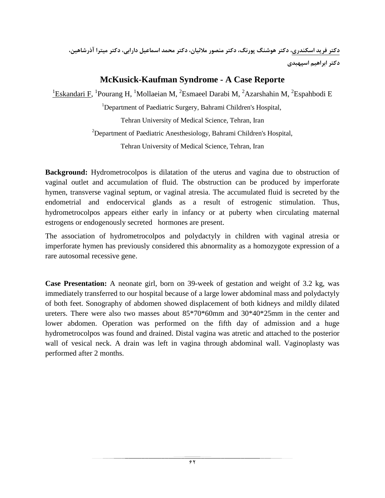**دكتر فريد اسكندري، دكتر هوشنگ پورنگ، دكتر منصور ملائيان، دكتر محمد اسماعيل دارابي، دكتر ميترا آذرشاهين، دكتر ابراهيم اسپهبدي**

### **McKusick-Kaufman Syndrome - A Case Reporte**

<sup>1</sup>Eskandari F, <sup>1</sup>Pourang H, <sup>1</sup>Mollaeian M, <sup>2</sup>Esmaeel Darabi M, <sup>2</sup>Azarshahin M, <sup>2</sup>Espahbodi E

<sup>1</sup>Department of Paediatric Surgery, Bahrami Children's Hospital,

Tehran University of Medical Science, Tehran, Iran

<sup>2</sup>Department of Paediatric Anesthesiology, Bahrami Children's Hospital,

Tehran University of Medical Science, Tehran, Iran

**Background:** Hydrometrocolpos is dilatation of the uterus and vagina due to obstruction of vaginal outlet and accumulation of fluid. The obstruction can be produced by imperforate hymen, transverse vaginal septum, or vaginal atresia. The accumulated fluid is secreted by the endometrial and endocervical glands as a result of estrogenic stimulation. Thus, hydrometrocolpos appears either early in infancy or at puberty when circulating maternal estrogens or endogenously secreted hormones are present.

The association of hydrometrocolpos and polydactyly in children with vaginal atresia or imperforate hymen has previously considered this abnormality as a homozygote expression of a rare autosomal recessive gene.

**Case Presentation:** A neonate girl, born on 39-week of gestation and weight of 3.2 kg, was immediately transferred to our hospital because of a large lower abdominal mass and polydactyly of both feet. Sonography of abdomen showed displacement of both kidneys and mildly dilated ureters. There were also two masses about 85\*70\*60mm and 30\*40\*25mm in the center and lower abdomen. Operation was performed on the fifth day of admission and a huge hydrometrocolpos was found and drained. Distal vagina was atretic and attached to the posterior wall of vesical neck. A drain was left in vagina through abdominal wall. Vaginoplasty was performed after 2 months.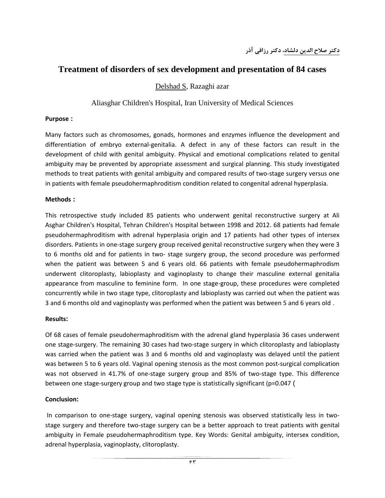### **Treatment of disorders of sex development and presentation of 84 cases**

Delshad S, Razaghi azar

Aliasghar Children's Hospital, Iran University of Medical Sciences

#### **Purpose :**

Many factors such as chromosomes, gonads, hormones and enzymes influence the development and differentiation of embryo external-genitalia. A defect in any of these factors can result in the development of child with genital ambiguity. Physical and emotional complications related to genital ambiguity may be prevented by appropriate assessment and surgical planning. This study investigated methods to treat patients with genital ambiguity and compared results of two-stage surgery versus one in patients with female pseudohermaphroditism condition related to congenital adrenal hyperplasia.

#### **Methods :**

This retrospective study included 85 patients who underwent genital reconstructive surgery at Ali Asghar Children's Hospital, Tehran Children's Hospital between 1998 and 2012. 68 patients had female pseudohermaphroditism with adrenal hyperplasia origin and 17 patients had other types of intersex disorders. Patients in one-stage surgery group received genital reconstructive surgery when they were 3 to 6 months old and for patients in two- stage surgery group, the second procedure was performed when the patient was between 5 and 6 years old. 66 patients with female pseudohermaphrodism underwent clitoroplasty, labioplasty and vaginoplasty to change their masculine external genitalia appearance from masculine to feminine form. In one stage-group, these procedures were completed concurrently while in two stage type, clitoroplasty and labioplasty was carried out when the patient was 3 and 6 months old and vaginoplasty was performed when the patient was between 5 and 6 years old .

#### **Results:**

Of 68 cases of female pseudohermaphroditism with the adrenal gland hyperplasia 36 cases underwent one stage-surgery. The remaining 30 cases had two-stage surgery in which clitoroplasty and labioplasty was carried when the patient was 3 and 6 months old and vaginoplasty was delayed until the patient was between 5 to 6 years old. Vaginal opening stenosis as the most common post-surgical complication was not observed in 41.7% of one-stage surgery group and 85% of two-stage type. This difference between one stage-surgery group and two stage type is statistically significant (p=0.047 (

#### **Conclusion:**

In comparison to one-stage surgery, vaginal opening stenosis was observed statistically less in twostage surgery and therefore two-stage surgery can be a better approach to treat patients with genital ambiguity in Female pseudohermaphroditism type. Key Words: Genital ambiguity, intersex condition, adrenal hyperplasia, vaginoplasty, clitoroplasty.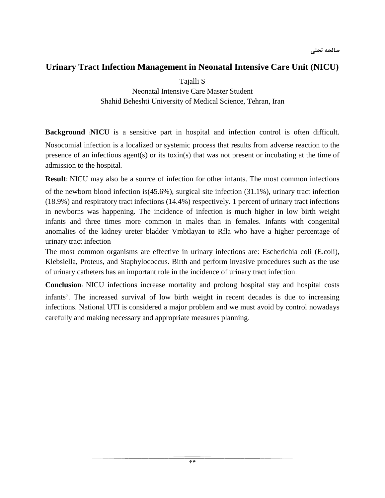### **Urinary Tract Infection Management in Neonatal Intensive Care Unit (NICU)**

Tajalli S Neonatal Intensive Care Master Student Shahid Beheshti University of Medical Science, Tehran, Iran

**Background :NICU** is a sensitive part in hospital and infection control is often difficult. Nosocomial infection is a localized or systemic process that results from adverse reaction to the presence of an infectious agent(s) or its toxin(s) that was not present or incubating at the time of admission to the hospital.

**Result:** NICU may also be a source of infection for other infants. The most common infections

of the newborn blood infection is  $(45.6\%)$ , surgical site infection  $(31.1\%)$ , urinary tract infection (18.9%) and respiratory tract infections (14.4%) respectively. 1 percent of urinary tract infections in newborns was happening. The incidence of infection is much higher in low birth weight infants and three times more common in males than in females. Infants with congenital anomalies of the kidney ureter bladder Vmbtlayan to Rfla who have a higher percentage of urinary tract infection

The most common organisms are effective in urinary infections are: Escherichia coli (E.coli), Klebsiella, Proteus, and Staphylococcus. Birth and perform invasive procedures such as the use of urinary catheters has an important role in the incidence of urinary tract infection.

**Conclusion**: NICU infections increase mortality and prolong hospital stay and hospital costs

infants'. The increased survival of low birth weight in recent decades is due to increasing infections. National UTI is considered a major problem and we must avoid by control nowadays carefully and making necessary and appropriate measures planning.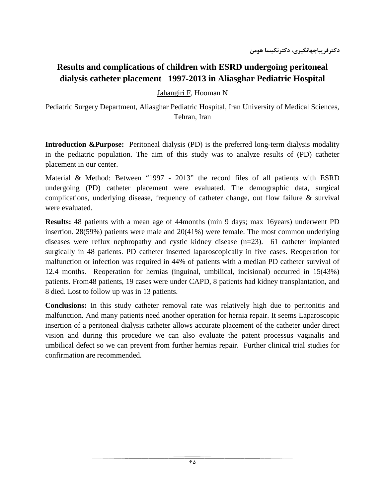# **Results and complications of children with ESRD undergoing peritoneal dialysis catheter placement 1997-2013 in Aliasghar Pediatric Hospital**

Jahangiri F, Hooman N

Pediatric Surgery Department, Aliasghar Pediatric Hospital, Iran University of Medical Sciences, Tehran, Iran

**Introduction &Purpose:** Peritoneal dialysis (PD) is the preferred long-term dialysis modality in the pediatric population. The aim of this study was to analyze results of (PD) catheter placement in our center.

Material & Method: Between "1997 - 2013" the record files of all patients with ESRD undergoing (PD) catheter placement were evaluated. The demographic data, surgical complications, underlying disease, frequency of catheter change, out flow failure & survival were evaluated.

**Results:** 48 patients with a mean age of 44months (min 9 days; max 16years) underwent PD insertion. 28(59%) patients were male and 20(41%) were female. The most common underlying diseases were reflux nephropathy and cystic kidney disease (n=23). 61 catheter implanted surgically in 48 patients. PD catheter inserted laparoscopically in five cases. Reoperation for malfunction or infection was required in 44% of patients with a median PD catheter survival of 12.4 months. Reoperation for hernias (inguinal, umbilical, incisional) occurred in 15(43%) patients. From48 patients, 19 cases were under CAPD, 8 patients had kidney transplantation, and 8 died. Lost to follow up was in 13 patients.

**Conclusions:** In this study catheter removal rate was relatively high due to peritonitis and malfunction. And many patients need another operation for hernia repair. It seems Laparoscopic insertion of a peritoneal dialysis catheter allows accurate placement of the catheter under direct vision and during this procedure we can also evaluate the patent processus vaginalis and umbilical defect so we can prevent from further hernias repair. Further clinical trial studies for confirmation are recommended.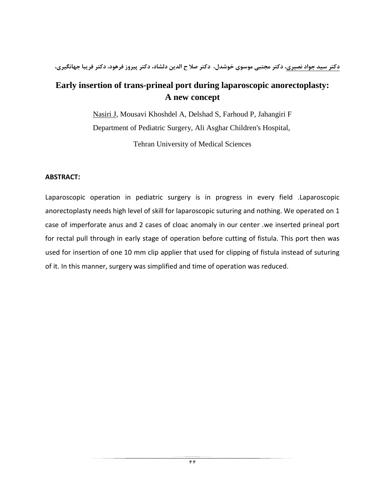**دكتر سيد جواد نصيري، دكتر مجتبي موسوي خوشدل، دكتر صلا ح الدين دلشاد، دكتر پيروز فرهود، دكتر فريبا جهانگيري،** 

# **Early insertion of trans-prineal port during laparoscopic anorectoplasty: A new concept**

Nasiri J, Mousavi Khoshdel A, Delshad S, Farhoud P, Jahangiri F Department of Pediatric Surgery, Ali Asghar Children's Hospital,

Tehran University of Medical Sciences

### **ABSTRACT:**

Laparoscopic operation in pediatric surgery is in progress in every field .Laparoscopic anorectoplasty needs high level of skill for laparoscopic suturing and nothing. We operated on 1 case of imperforate anus and 2 cases of cloac anomaly in our center .we inserted prineal port for rectal pull through in early stage of operation before cutting of fistula. This port then was used for insertion of one 10 mm clip applier that used for clipping of fistula instead of suturing of it. In this manner, surgery was simplified and time of operation was reduced.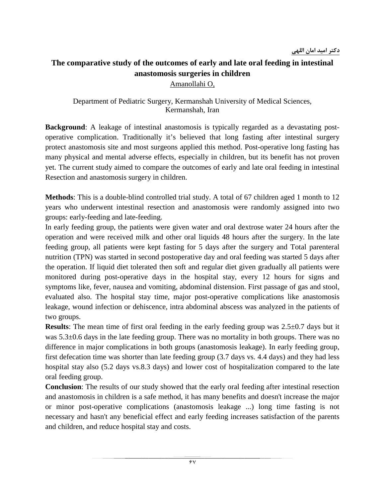# **The comparative study of the outcomes of early and late oral feeding in intestinal anastomosis surgeries in children**

Amanollahi O,

Department of Pediatric Surgery, Kermanshah University of Medical Sciences, Kermanshah, Iran

**Background**: A leakage of intestinal anastomosis is typically regarded as a devastating postoperative complication. Traditionally it's believed that long fasting after intestinal surgery protect anastomosis site and most surgeons applied this method. Post-operative long fasting has many physical and mental adverse effects, especially in children, but its benefit has not proven yet. The current study aimed to compare the outcomes of early and late oral feeding in intestinal Resection and anastomosis surgery in children.

**Methods**: This is a double-blind controlled trial study. A total of 67 children aged 1 month to 12 years who underwent intestinal resection and anastomosis were randomly assigned into two groups: early-feeding and late-feeding.

In early feeding group, the patients were given water and oral dextrose water 24 hours after the operation and were received milk and other oral liquids 48 hours after the surgery. In the late feeding group, all patients were kept fasting for 5 days after the surgery and Total parenteral nutrition (TPN) was started in second postoperative day and oral feeding was started 5 days after the operation. If liquid diet tolerated then soft and regular diet given gradually all patients were monitored during post-operative days in the hospital stay, every 12 hours for signs and symptoms like, fever, nausea and vomiting, abdominal distension. First passage of gas and stool, evaluated also. The hospital stay time, major post-operative complications like anastomosis leakage, wound infection or dehiscence, intra abdominal abscess was analyzed in the patients of two groups.

**Results**: The mean time of first oral feeding in the early feeding group was 2.5±0.7 days but it was 5.3±0.6 days in the late feeding group. There was no mortality in both groups. There was no difference in major complications in both groups (anastomosis leakage). In early feeding group, first defecation time was shorter than late feeding group (3.7 days vs. 4.4 days) and they had less hospital stay also (5.2 days vs.8.3 days) and lower cost of hospitalization compared to the late oral feeding group.

**Conclusion**: The results of our study showed that the early oral feeding after intestinal resection and anastomosis in children is a safe method, it has many benefits and doesn't increase the major or minor post-operative complications (anastomosis leakage ...) long time fasting is not necessary and hasn't any beneficial effect and early feeding increases satisfaction of the parents and children, and reduce hospital stay and costs.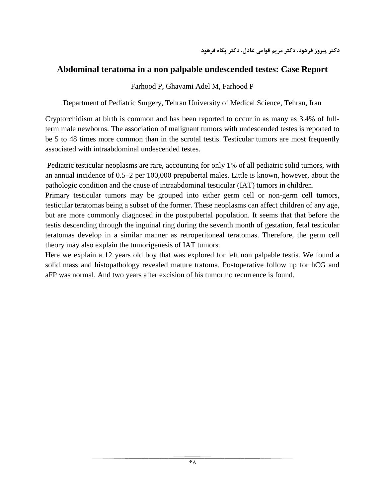### **Abdominal teratoma in a non palpable undescended testes: Case Report**

### Farhood P, Ghavami Adel M, Farhood P

Department of Pediatric Surgery, Tehran University of Medical Science, Tehran, Iran

Cryptorchidism at birth is common and has been reported to occur in as many as 3.4% of fullterm male newborns. The association of malignant tumors with undescended testes is reported to be 5 to 48 times more common than in the scrotal testis. Testicular tumors are most frequently associated with intraabdominal undescended testes.

Pediatric testicular neoplasms are rare, accounting for only 1% of all pediatric solid tumors, with an annual incidence of 0.5–2 per 100,000 prepubertal males. Little is known, however, about the pathologic condition and the cause of intraabdominal testicular (IAT) tumors in children.

Primary testicular tumors may be grouped into either germ cell or non-germ cell tumors, testicular teratomas being a subset of the former. These neoplasms can affect children of any age, but are more commonly diagnosed in the postpubertal population. It seems that that before the testis descending through the inguinal ring during the seventh month of gestation, fetal testicular teratomas develop in a similar manner as retroperitoneal teratomas. Therefore, the germ cell theory may also explain the tumorigenesis of IAT tumors.

Here we explain a 12 years old boy that was explored for left non palpable testis. We found a solid mass and histopathology revealed mature tratoma. Postoperative follow up for hCG and aFP was normal. And two years after excision of his tumor no recurrence is found.